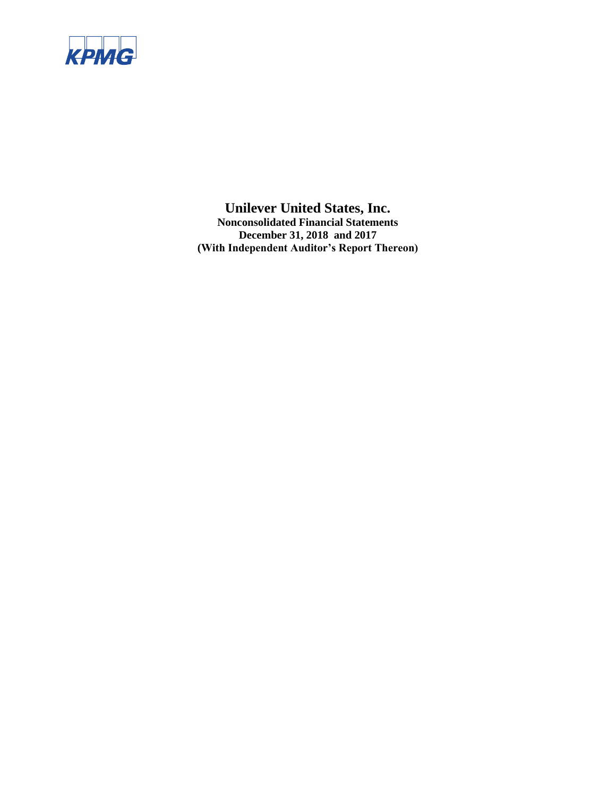

**Unilever United States, Inc. Nonconsolidated Financial Statements December 31, 2018 and 2017 (With Independent Auditor's Report Thereon)**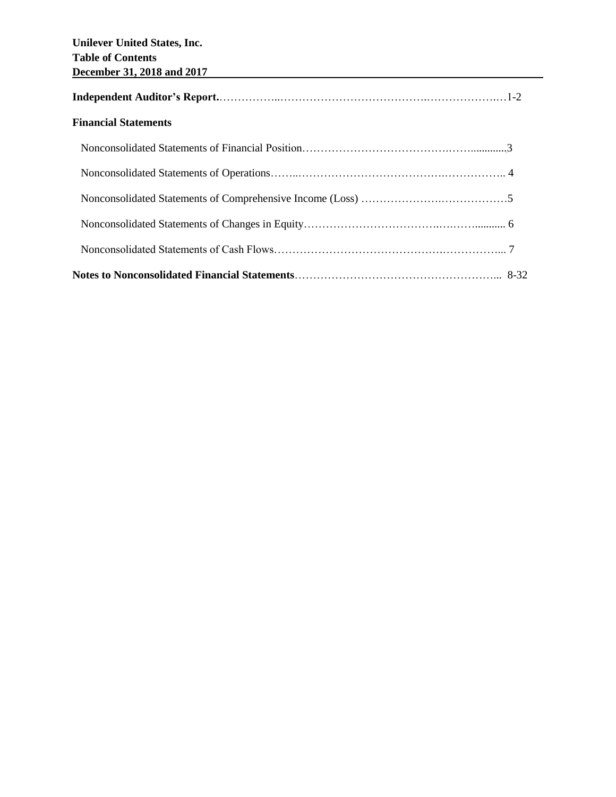| <b>Financial Statements</b> |
|-----------------------------|
|                             |
|                             |
|                             |
|                             |
|                             |
|                             |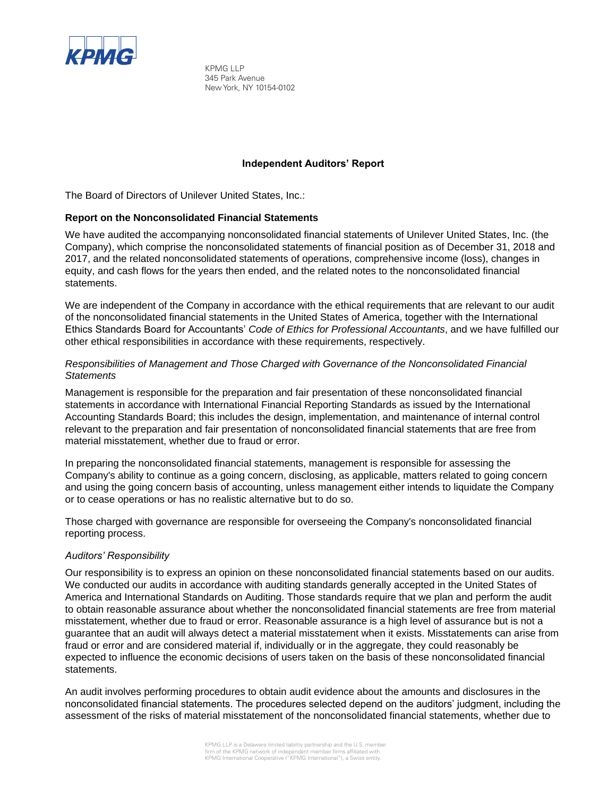

KPMG LLP 345 Park Avenue New York, NY 10154-0102

#### **Independent Auditors' Report**

The Board of Directors of Unilever United States, Inc.:

#### **Report on the Nonconsolidated Financial Statements**

We have audited the accompanying nonconsolidated financial statements of Unilever United States, Inc. (the Company), which comprise the nonconsolidated statements of financial position as of December 31, 2018 and 2017, and the related nonconsolidated statements of operations, comprehensive income (loss), changes in equity, and cash flows for the years then ended, and the related notes to the nonconsolidated financial statements.

We are independent of the Company in accordance with the ethical requirements that are relevant to our audit of the nonconsolidated financial statements in the United States of America, together with the International Ethics Standards Board for Accountants' *Code of Ethics for Professional Accountants*, and we have fulfilled our other ethical responsibilities in accordance with these requirements, respectively.

#### *Responsibilities of Management and Those Charged with Governance of the Nonconsolidated Financial Statements*

Management is responsible for the preparation and fair presentation of these nonconsolidated financial statements in accordance with International Financial Reporting Standards as issued by the International Accounting Standards Board; this includes the design, implementation, and maintenance of internal control relevant to the preparation and fair presentation of nonconsolidated financial statements that are free from material misstatement, whether due to fraud or error.

In preparing the nonconsolidated financial statements, management is responsible for assessing the Company's ability to continue as a going concern, disclosing, as applicable, matters related to going concern and using the going concern basis of accounting, unless management either intends to liquidate the Company or to cease operations or has no realistic alternative but to do so.

Those charged with governance are responsible for overseeing the Company's nonconsolidated financial reporting process.

#### *Auditors' Responsibility*

Our responsibility is to express an opinion on these nonconsolidated financial statements based on our audits. We conducted our audits in accordance with auditing standards generally accepted in the United States of America and International Standards on Auditing. Those standards require that we plan and perform the audit to obtain reasonable assurance about whether the nonconsolidated financial statements are free from material misstatement, whether due to fraud or error. Reasonable assurance is a high level of assurance but is not a guarantee that an audit will always detect a material misstatement when it exists. Misstatements can arise from fraud or error and are considered material if, individually or in the aggregate, they could reasonably be expected to influence the economic decisions of users taken on the basis of these nonconsolidated financial statements.

An audit involves performing procedures to obtain audit evidence about the amounts and disclosures in the nonconsolidated financial statements. The procedures selected depend on the auditors' judgment, including the assessment of the risks of material misstatement of the nonconsolidated financial statements, whether due to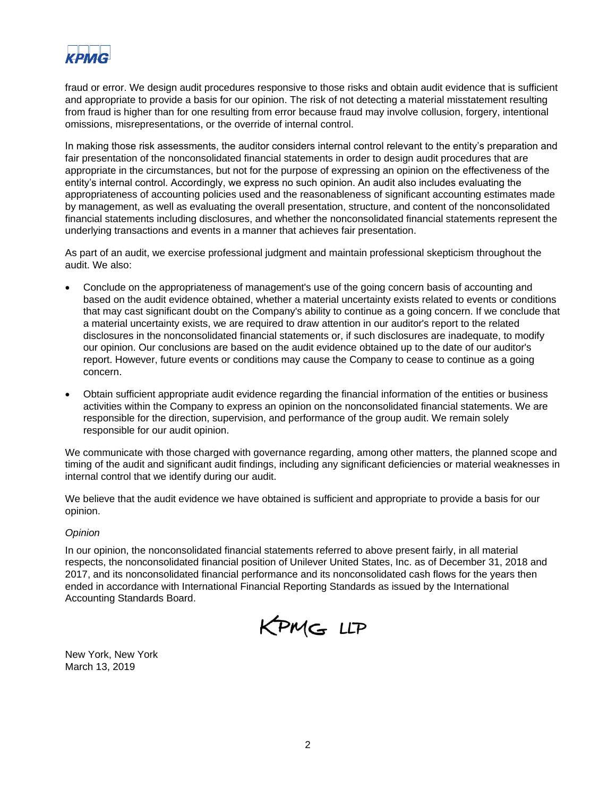

fraud or error. We design audit procedures responsive to those risks and obtain audit evidence that is sufficient and appropriate to provide a basis for our opinion. The risk of not detecting a material misstatement resulting from fraud is higher than for one resulting from error because fraud may involve collusion, forgery, intentional omissions, misrepresentations, or the override of internal control.

In making those risk assessments, the auditor considers internal control relevant to the entity's preparation and fair presentation of the nonconsolidated financial statements in order to design audit procedures that are appropriate in the circumstances, but not for the purpose of expressing an opinion on the effectiveness of the entity's internal control. Accordingly, we express no such opinion. An audit also includes evaluating the appropriateness of accounting policies used and the reasonableness of significant accounting estimates made by management, as well as evaluating the overall presentation, structure, and content of the nonconsolidated financial statements including disclosures, and whether the nonconsolidated financial statements represent the underlying transactions and events in a manner that achieves fair presentation.

As part of an audit, we exercise professional judgment and maintain professional skepticism throughout the audit. We also:

- Conclude on the appropriateness of management's use of the going concern basis of accounting and based on the audit evidence obtained, whether a material uncertainty exists related to events or conditions that may cast significant doubt on the Company's ability to continue as a going concern. If we conclude that a material uncertainty exists, we are required to draw attention in our auditor's report to the related disclosures in the nonconsolidated financial statements or, if such disclosures are inadequate, to modify our opinion. Our conclusions are based on the audit evidence obtained up to the date of our auditor's report. However, future events or conditions may cause the Company to cease to continue as a going concern.
- Obtain sufficient appropriate audit evidence regarding the financial information of the entities or business activities within the Company to express an opinion on the nonconsolidated financial statements. We are responsible for the direction, supervision, and performance of the group audit. We remain solely responsible for our audit opinion.

We communicate with those charged with governance regarding, among other matters, the planned scope and timing of the audit and significant audit findings, including any significant deficiencies or material weaknesses in internal control that we identify during our audit.

We believe that the audit evidence we have obtained is sufficient and appropriate to provide a basis for our opinion.

#### *Opinion*

In our opinion, the nonconsolidated financial statements referred to above present fairly, in all material respects, the nonconsolidated financial position of Unilever United States, Inc. as of December 31, 2018 and 2017, and its nonconsolidated financial performance and its nonconsolidated cash flows for the years then ended in accordance with International Financial Reporting Standards as issued by the International Accounting Standards Board.

KPMG LLP

New York, New York March 13, 2019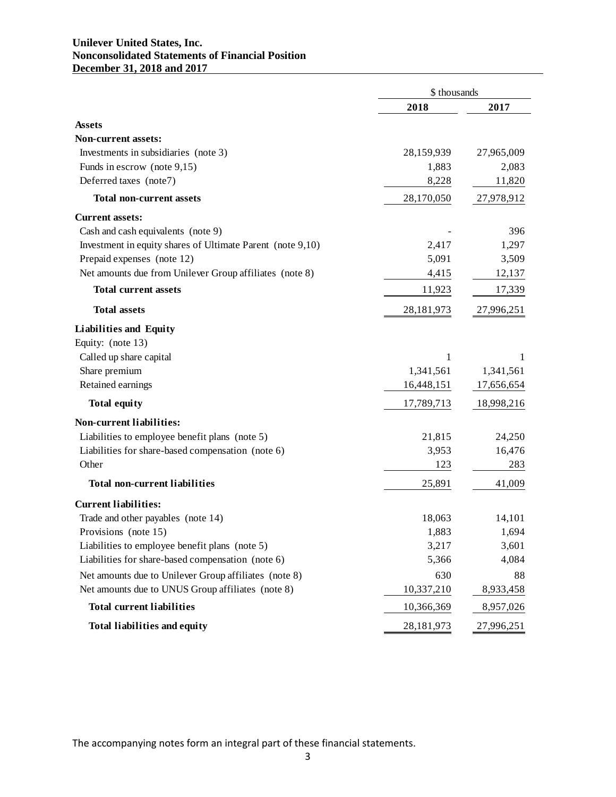### **Unilever United States, Inc. Nonconsolidated Statements of Financial Position December 31, 2018 and 2017**

|                                                            | \$ thousands |            |  |
|------------------------------------------------------------|--------------|------------|--|
|                                                            | 2018         | 2017       |  |
| <b>Assets</b>                                              |              |            |  |
| <b>Non-current assets:</b>                                 |              |            |  |
| Investments in subsidiaries (note 3)                       | 28,159,939   | 27,965,009 |  |
| Funds in escrow (note 9,15)                                | 1,883        | 2,083      |  |
| Deferred taxes (note7)                                     | 8,228        | 11,820     |  |
| <b>Total non-current assets</b>                            | 28,170,050   | 27,978,912 |  |
| <b>Current assets:</b>                                     |              |            |  |
| Cash and cash equivalents (note 9)                         |              | 396        |  |
| Investment in equity shares of Ultimate Parent (note 9,10) | 2,417        | 1,297      |  |
| Prepaid expenses (note 12)                                 | 5,091        | 3,509      |  |
| Net amounts due from Unilever Group affiliates (note 8)    | 4,415        | 12,137     |  |
| <b>Total current assets</b>                                | 11,923       | 17,339     |  |
| <b>Total assets</b>                                        | 28, 181, 973 | 27,996,251 |  |
| <b>Liabilities and Equity</b>                              |              |            |  |
| Equity: (note 13)                                          |              |            |  |
| Called up share capital                                    | 1            | 1          |  |
| Share premium                                              | 1,341,561    | 1,341,561  |  |
| Retained earnings                                          | 16,448,151   | 17,656,654 |  |
| <b>Total equity</b>                                        | 17,789,713   | 18,998,216 |  |
| Non-current liabilities:                                   |              |            |  |
| Liabilities to employee benefit plans (note 5)             | 21,815       | 24,250     |  |
| Liabilities for share-based compensation (note 6)          | 3,953        | 16,476     |  |
| Other                                                      | 123          | 283        |  |
| <b>Total non-current liabilities</b>                       | 25,891       | 41,009     |  |
| <b>Current liabilities:</b>                                |              |            |  |
| Trade and other payables (note 14)                         | 18,063       | 14,101     |  |
| Provisions (note 15)                                       | 1,883        | 1,694      |  |
| Liabilities to employee benefit plans (note 5)             | 3,217        | 3,601      |  |
| Liabilities for share-based compensation (note 6)          | 5,366        | 4,084      |  |
| Net amounts due to Unilever Group affiliates (note 8)      | 630          | 88         |  |
| Net amounts due to UNUS Group affiliates (note 8)          | 10,337,210   | 8,933,458  |  |
| <b>Total current liabilities</b>                           | 10,366,369   | 8,957,026  |  |
| Total liabilities and equity                               | 28, 181, 973 | 27,996,251 |  |

The accompanying notes form an integral part of these financial statements.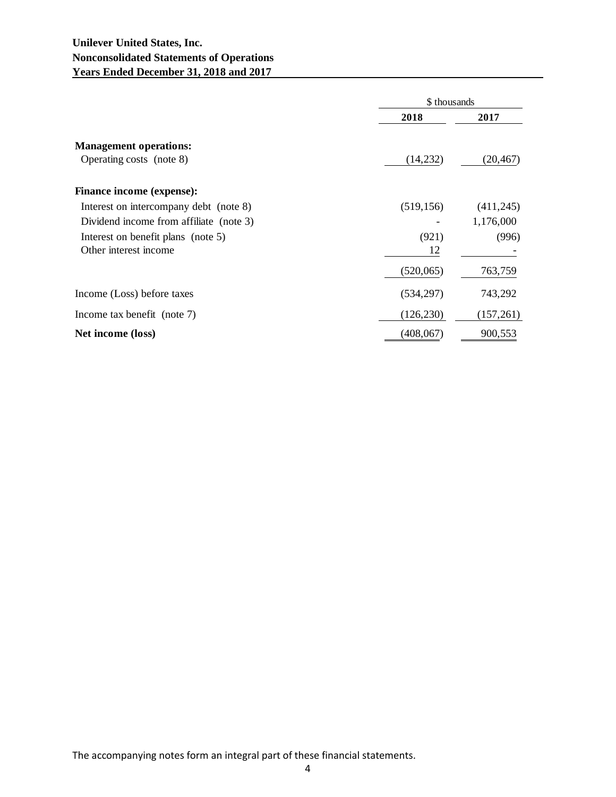# **Unilever United States, Inc. Nonconsolidated Statements of Operations Years Ended December 31, 2018 and 2017**

|                                         | \$ thousands |            |
|-----------------------------------------|--------------|------------|
|                                         | 2018         | 2017       |
| <b>Management operations:</b>           |              |            |
| Operating costs (note 8)                | (14,232)     | (20, 467)  |
| Finance income (expense):               |              |            |
| Interest on intercompany debt (note 8)  | (519, 156)   | (411, 245) |
| Dividend income from affiliate (note 3) |              | 1,176,000  |
| Interest on benefit plans (note 5)      | (921)        | (996)      |
| Other interest income                   | 12           |            |
|                                         | (520, 065)   | 763,759    |
| Income (Loss) before taxes              | (534, 297)   | 743,292    |
| Income tax benefit (note 7)             | (126, 230)   | (157,261)  |
| Net income (loss)                       | (408,067)    | 900,553    |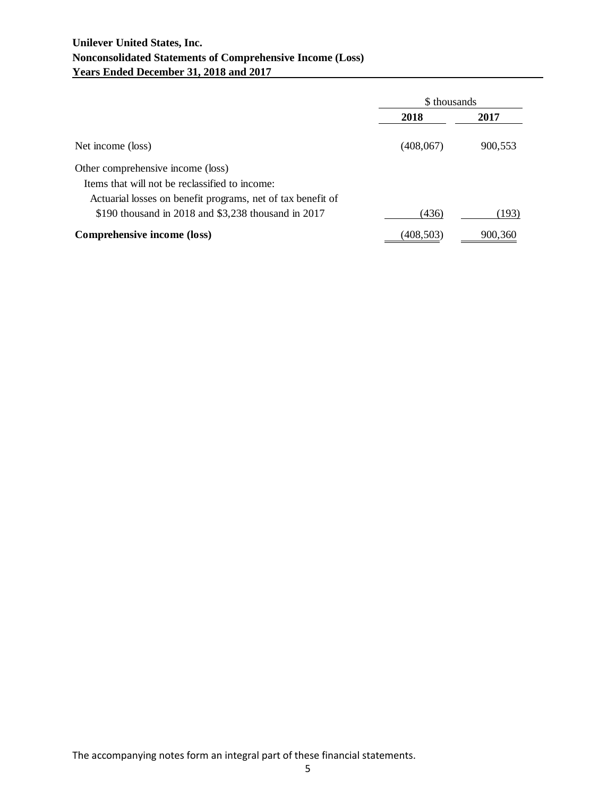# **Unilever United States, Inc. Nonconsolidated Statements of Comprehensive Income (Loss) Years Ended December 31, 2018 and 2017**

|                                                             | \$ thousands |         |  |
|-------------------------------------------------------------|--------------|---------|--|
|                                                             | 2018         | 2017    |  |
| Net income (loss)                                           | (408, 067)   | 900,553 |  |
| Other comprehensive income (loss)                           |              |         |  |
| Items that will not be reclassified to income:              |              |         |  |
| Actuarial losses on benefit programs, net of tax benefit of |              |         |  |
| \$190 thousand in 2018 and \$3,238 thousand in 2017         | (436)        | (193)   |  |
| Comprehensive income (loss)                                 | (408, 503)   | 900,360 |  |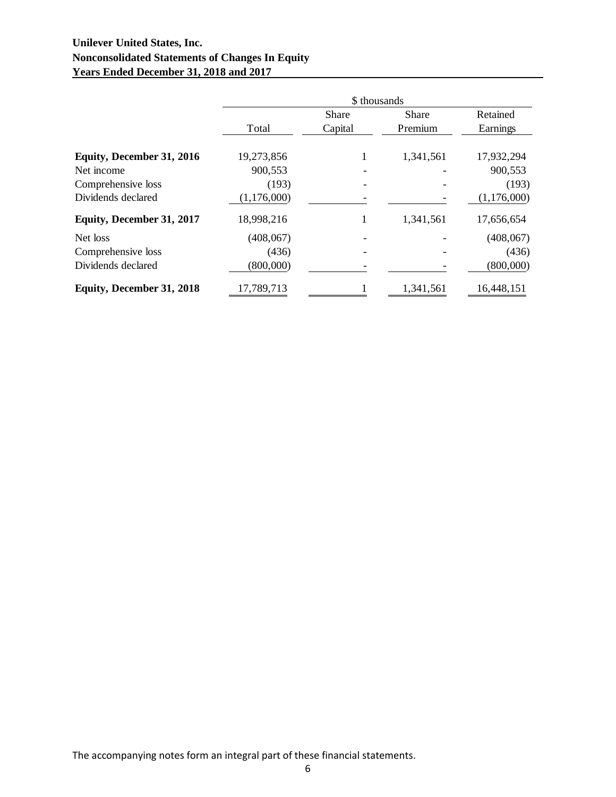# **Unilever United States, Inc. Nonconsolidated Statements of Changes In Equity Years Ended December 31, 2018 and 2017**

|                                  | \$ thousands  |                         |                  |                      |  |  |  |  |
|----------------------------------|---------------|-------------------------|------------------|----------------------|--|--|--|--|
|                                  | Total         | <b>Share</b><br>Capital | Share<br>Premium | Retained<br>Earnings |  |  |  |  |
| Equity, December 31, 2016        | 19,273,856    |                         | 1,341,561        | 17,932,294           |  |  |  |  |
| Net income                       | 900,553       |                         |                  | 900,553              |  |  |  |  |
| Comprehensive loss               | (193)         |                         |                  | (193)                |  |  |  |  |
| Dividends declared               | (1, 176, 000) |                         |                  | (1,176,000)          |  |  |  |  |
| <b>Equity, December 31, 2017</b> | 18,998,216    |                         | 1,341,561        | 17,656,654           |  |  |  |  |
| Net loss                         | (408, 067)    |                         |                  | (408, 067)           |  |  |  |  |
| Comprehensive loss               | (436)         |                         |                  | (436)                |  |  |  |  |
| Dividends declared               | (800,000)     |                         |                  | (800,000)            |  |  |  |  |
| Equity, December 31, 2018        | 17,789,713    |                         | 1,341,561        | 16,448,151           |  |  |  |  |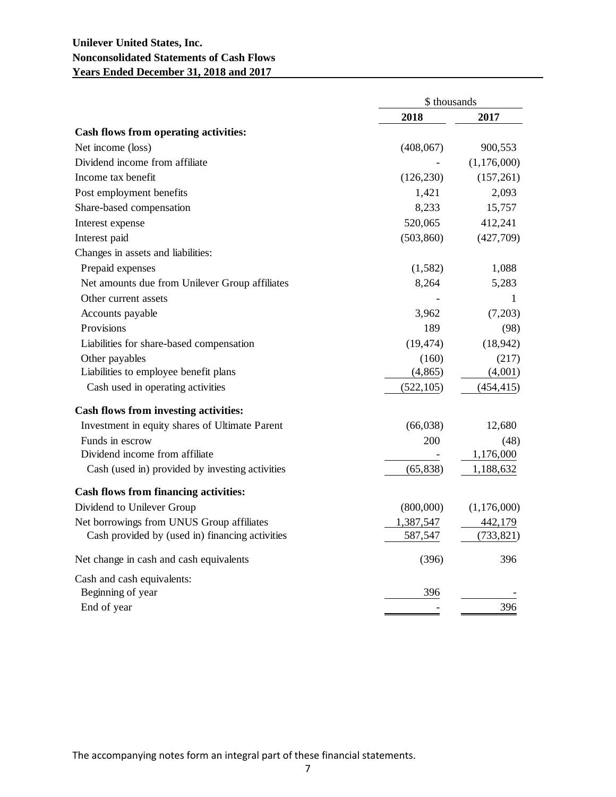# **Unilever United States, Inc. Nonconsolidated Statements of Cash Flows Years Ended December 31, 2018 and 2017**

|                                                 | \$ thousands |             |  |
|-------------------------------------------------|--------------|-------------|--|
|                                                 | 2018         | 2017        |  |
| Cash flows from operating activities:           |              |             |  |
| Net income (loss)                               | (408, 067)   | 900,553     |  |
| Dividend income from affiliate                  |              | (1,176,000) |  |
| Income tax benefit                              | (126, 230)   | (157, 261)  |  |
| Post employment benefits                        | 1,421        | 2,093       |  |
| Share-based compensation                        | 8,233        | 15,757      |  |
| Interest expense                                | 520,065      | 412,241     |  |
| Interest paid                                   | (503, 860)   | (427,709)   |  |
| Changes in assets and liabilities:              |              |             |  |
| Prepaid expenses                                | (1,582)      | 1,088       |  |
| Net amounts due from Unilever Group affiliates  | 8,264        | 5,283       |  |
| Other current assets                            |              | 1           |  |
| Accounts payable                                | 3,962        | (7,203)     |  |
| Provisions                                      | 189          | (98)        |  |
| Liabilities for share-based compensation        | (19, 474)    | (18, 942)   |  |
| Other payables                                  | (160)        | (217)       |  |
| Liabilities to employee benefit plans           | (4,865)      | (4,001)     |  |
| Cash used in operating activities               | (522, 105)   | (454, 415)  |  |
| Cash flows from investing activities:           |              |             |  |
| Investment in equity shares of Ultimate Parent  | (66,038)     | 12,680      |  |
| Funds in escrow                                 | 200          | (48)        |  |
| Dividend income from affiliate                  |              | 1,176,000   |  |
| Cash (used in) provided by investing activities | (65, 838)    | 1,188,632   |  |
| <b>Cash flows from financing activities:</b>    |              |             |  |
| Dividend to Unilever Group                      | (800,000)    | (1,176,000) |  |
| Net borrowings from UNUS Group affiliates       | 1,387,547    | 442,179     |  |
| Cash provided by (used in) financing activities | 587,547      | (733, 821)  |  |
| Net change in cash and cash equivalents         | (396)        | 396         |  |
| Cash and cash equivalents:                      |              |             |  |
| Beginning of year                               | 396          |             |  |
| End of year                                     |              | 396         |  |

The accompanying notes form an integral part of these financial statements.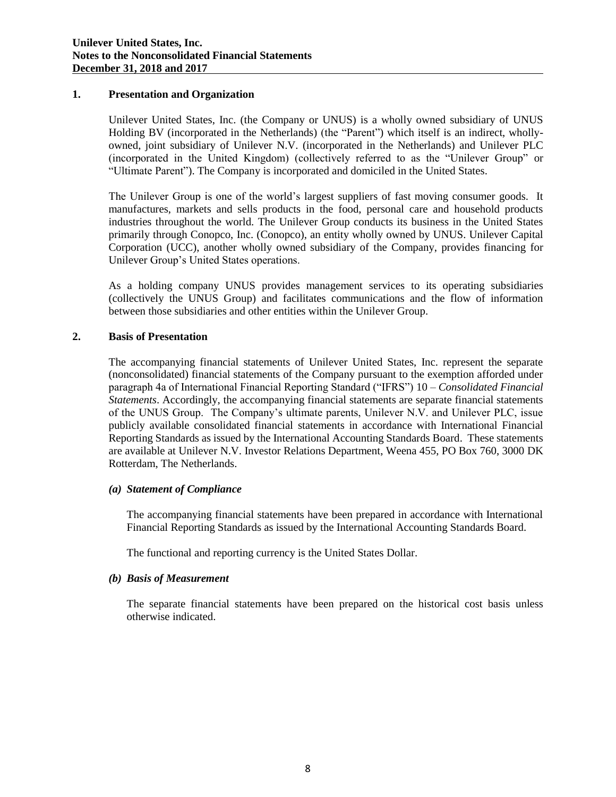# **1. Presentation and Organization**

Unilever United States, Inc. (the Company or UNUS) is a wholly owned subsidiary of UNUS Holding BV (incorporated in the Netherlands) (the "Parent") which itself is an indirect, whollyowned, joint subsidiary of Unilever N.V. (incorporated in the Netherlands) and Unilever PLC (incorporated in the United Kingdom) (collectively referred to as the "Unilever Group" or "Ultimate Parent"). The Company is incorporated and domiciled in the United States.

The Unilever Group is one of the world's largest suppliers of fast moving consumer goods. It manufactures, markets and sells products in the food, personal care and household products industries throughout the world. The Unilever Group conducts its business in the United States primarily through Conopco, Inc. (Conopco), an entity wholly owned by UNUS. Unilever Capital Corporation (UCC), another wholly owned subsidiary of the Company, provides financing for Unilever Group's United States operations.

As a holding company UNUS provides management services to its operating subsidiaries (collectively the UNUS Group) and facilitates communications and the flow of information between those subsidiaries and other entities within the Unilever Group.

# **2. Basis of Presentation**

The accompanying financial statements of Unilever United States, Inc. represent the separate (nonconsolidated) financial statements of the Company pursuant to the exemption afforded under paragraph 4a of International Financial Reporting Standard ("IFRS") 10 – *Consolidated Financial Statements*. Accordingly, the accompanying financial statements are separate financial statements of the UNUS Group. The Company's ultimate parents, Unilever N.V. and Unilever PLC, issue publicly available consolidated financial statements in accordance with International Financial Reporting Standards as issued by the International Accounting Standards Board. These statements are available at Unilever N.V. Investor Relations Department, Weena 455, PO Box 760, 3000 DK Rotterdam, The Netherlands.

# *(a) Statement of Compliance*

The accompanying financial statements have been prepared in accordance with International Financial Reporting Standards as issued by the International Accounting Standards Board.

The functional and reporting currency is the United States Dollar.

# *(b) Basis of Measurement*

The separate financial statements have been prepared on the historical cost basis unless otherwise indicated.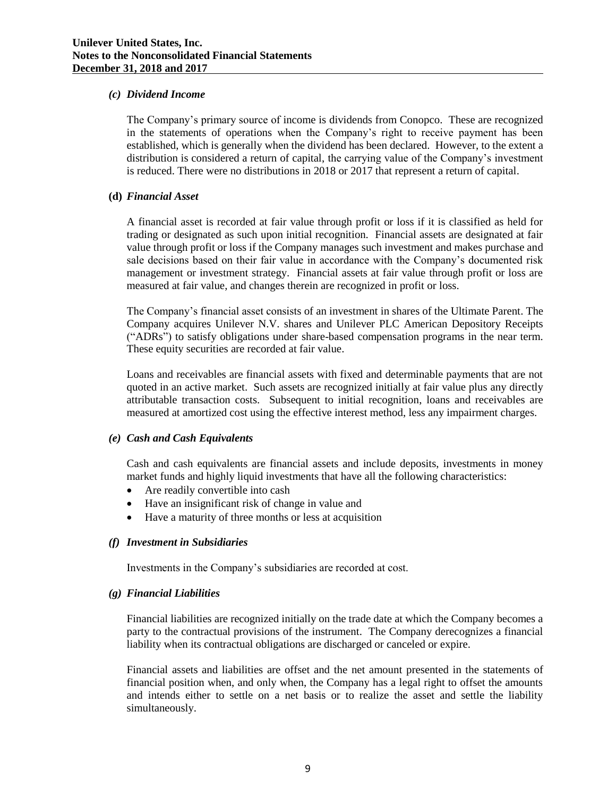# *(c) Dividend Income*

The Company's primary source of income is dividends from Conopco. These are recognized in the statements of operations when the Company's right to receive payment has been established, which is generally when the dividend has been declared. However, to the extent a distribution is considered a return of capital, the carrying value of the Company's investment is reduced. There were no distributions in 2018 or 2017 that represent a return of capital.

# **(d)** *Financial Asset*

A financial asset is recorded at fair value through profit or loss if it is classified as held for trading or designated as such upon initial recognition. Financial assets are designated at fair value through profit or loss if the Company manages such investment and makes purchase and sale decisions based on their fair value in accordance with the Company's documented risk management or investment strategy. Financial assets at fair value through profit or loss are measured at fair value, and changes therein are recognized in profit or loss.

The Company's financial asset consists of an investment in shares of the Ultimate Parent. The Company acquires Unilever N.V. shares and Unilever PLC American Depository Receipts ("ADRs") to satisfy obligations under share-based compensation programs in the near term. These equity securities are recorded at fair value.

Loans and receivables are financial assets with fixed and determinable payments that are not quoted in an active market. Such assets are recognized initially at fair value plus any directly attributable transaction costs. Subsequent to initial recognition, loans and receivables are measured at amortized cost using the effective interest method, less any impairment charges.

# *(e) Cash and Cash Equivalents*

Cash and cash equivalents are financial assets and include deposits, investments in money market funds and highly liquid investments that have all the following characteristics:

- Are readily convertible into cash
- Have an insignificant risk of change in value and
- Have a maturity of three months or less at acquisition

# *(f) Investment in Subsidiaries*

Investments in the Company's subsidiaries are recorded at cost.

#### *(g) Financial Liabilities*

Financial liabilities are recognized initially on the trade date at which the Company becomes a party to the contractual provisions of the instrument. The Company derecognizes a financial liability when its contractual obligations are discharged or canceled or expire.

Financial assets and liabilities are offset and the net amount presented in the statements of financial position when, and only when, the Company has a legal right to offset the amounts and intends either to settle on a net basis or to realize the asset and settle the liability simultaneously.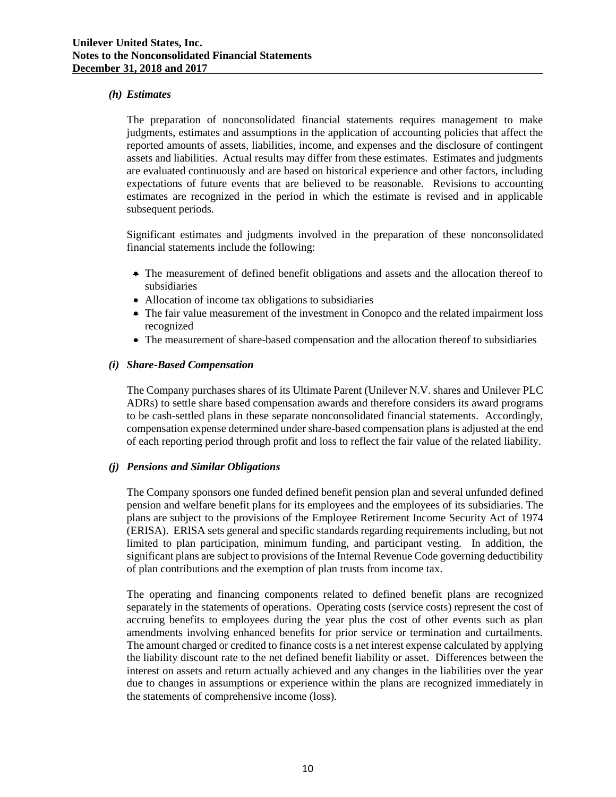# *(h) Estimates*

The preparation of nonconsolidated financial statements requires management to make judgments, estimates and assumptions in the application of accounting policies that affect the reported amounts of assets, liabilities, income, and expenses and the disclosure of contingent assets and liabilities. Actual results may differ from these estimates. Estimates and judgments are evaluated continuously and are based on historical experience and other factors, including expectations of future events that are believed to be reasonable. Revisions to accounting estimates are recognized in the period in which the estimate is revised and in applicable subsequent periods.

Significant estimates and judgments involved in the preparation of these nonconsolidated financial statements include the following:

- The measurement of defined benefit obligations and assets and the allocation thereof to subsidiaries
- Allocation of income tax obligations to subsidiaries
- The fair value measurement of the investment in Conopco and the related impairment loss recognized
- The measurement of share-based compensation and the allocation thereof to subsidiaries

# *(i) Share-Based Compensation*

The Company purchases shares of its Ultimate Parent (Unilever N.V. shares and Unilever PLC ADRs) to settle share based compensation awards and therefore considers its award programs to be cash-settled plans in these separate nonconsolidated financial statements. Accordingly, compensation expense determined under share-based compensation plans is adjusted at the end of each reporting period through profit and loss to reflect the fair value of the related liability.

# *(j) Pensions and Similar Obligations*

The Company sponsors one funded defined benefit pension plan and several unfunded defined pension and welfare benefit plans for its employees and the employees of its subsidiaries. The plans are subject to the provisions of the Employee Retirement Income Security Act of 1974 (ERISA). ERISA sets general and specific standards regarding requirements including, but not limited to plan participation, minimum funding, and participant vesting. In addition, the significant plans are subject to provisions of the Internal Revenue Code governing deductibility of plan contributions and the exemption of plan trusts from income tax.

The operating and financing components related to defined benefit plans are recognized separately in the statements of operations. Operating costs (service costs) represent the cost of accruing benefits to employees during the year plus the cost of other events such as plan amendments involving enhanced benefits for prior service or termination and curtailments. The amount charged or credited to finance costs is a net interest expense calculated by applying the liability discount rate to the net defined benefit liability or asset. Differences between the interest on assets and return actually achieved and any changes in the liabilities over the year due to changes in assumptions or experience within the plans are recognized immediately in the statements of comprehensive income (loss).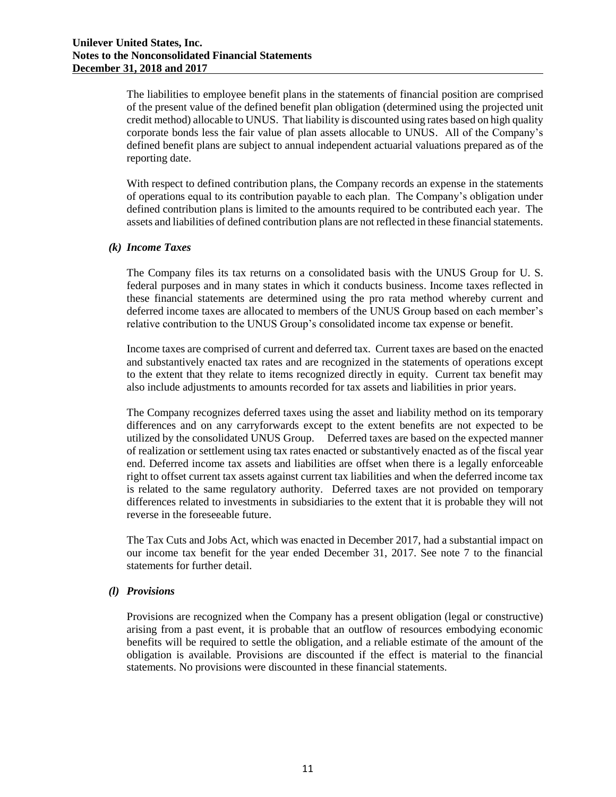The liabilities to employee benefit plans in the statements of financial position are comprised of the present value of the defined benefit plan obligation (determined using the projected unit credit method) allocable to UNUS. That liability is discounted using rates based on high quality corporate bonds less the fair value of plan assets allocable to UNUS. All of the Company's defined benefit plans are subject to annual independent actuarial valuations prepared as of the reporting date.

With respect to defined contribution plans, the Company records an expense in the statements of operations equal to its contribution payable to each plan. The Company's obligation under defined contribution plans is limited to the amounts required to be contributed each year. The assets and liabilities of defined contribution plans are not reflected in these financial statements.

# *(k) Income Taxes*

The Company files its tax returns on a consolidated basis with the UNUS Group for U. S. federal purposes and in many states in which it conducts business. Income taxes reflected in these financial statements are determined using the pro rata method whereby current and deferred income taxes are allocated to members of the UNUS Group based on each member's relative contribution to the UNUS Group's consolidated income tax expense or benefit.

Income taxes are comprised of current and deferred tax. Current taxes are based on the enacted and substantively enacted tax rates and are recognized in the statements of operations except to the extent that they relate to items recognized directly in equity. Current tax benefit may also include adjustments to amounts recorded for tax assets and liabilities in prior years.

The Company recognizes deferred taxes using the asset and liability method on its temporary differences and on any carryforwards except to the extent benefits are not expected to be utilized by the consolidated UNUS Group. Deferred taxes are based on the expected manner of realization or settlement using tax rates enacted or substantively enacted as of the fiscal year end. Deferred income tax assets and liabilities are offset when there is a legally enforceable right to offset current tax assets against current tax liabilities and when the deferred income tax is related to the same regulatory authority. Deferred taxes are not provided on temporary differences related to investments in subsidiaries to the extent that it is probable they will not reverse in the foreseeable future.

The Tax Cuts and Jobs Act, which was enacted in December 2017, had a substantial impact on our income tax benefit for the year ended December 31, 2017. See note 7 to the financial statements for further detail.

# *(l) Provisions*

Provisions are recognized when the Company has a present obligation (legal or constructive) arising from a past event, it is probable that an outflow of resources embodying economic benefits will be required to settle the obligation, and a reliable estimate of the amount of the obligation is available. Provisions are discounted if the effect is material to the financial statements. No provisions were discounted in these financial statements.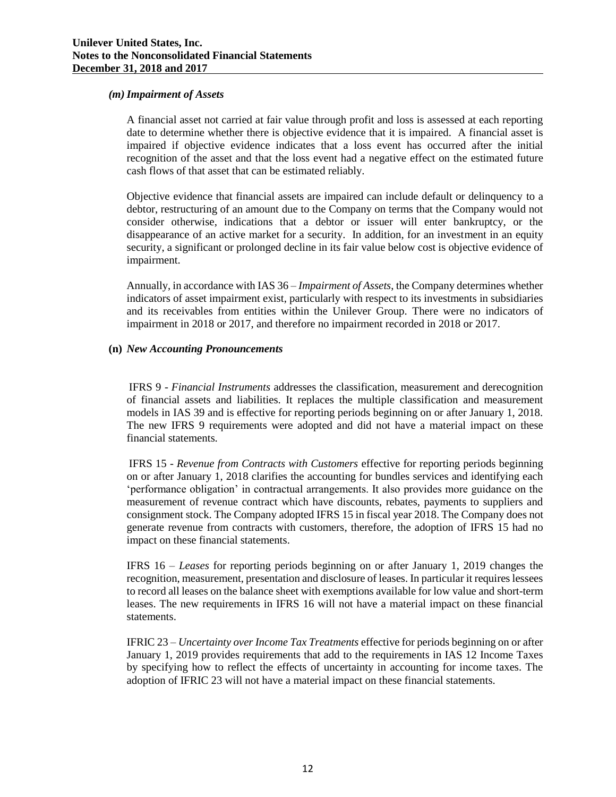### *(m)Impairment of Assets*

A financial asset not carried at fair value through profit and loss is assessed at each reporting date to determine whether there is objective evidence that it is impaired. A financial asset is impaired if objective evidence indicates that a loss event has occurred after the initial recognition of the asset and that the loss event had a negative effect on the estimated future cash flows of that asset that can be estimated reliably.

Objective evidence that financial assets are impaired can include default or delinquency to a debtor, restructuring of an amount due to the Company on terms that the Company would not consider otherwise, indications that a debtor or issuer will enter bankruptcy, or the disappearance of an active market for a security. In addition, for an investment in an equity security, a significant or prolonged decline in its fair value below cost is objective evidence of impairment.

Annually, in accordance with IAS 36 – *Impairment of Assets*, the Company determines whether indicators of asset impairment exist, particularly with respect to its investments in subsidiaries and its receivables from entities within the Unilever Group. There were no indicators of impairment in 2018 or 2017, and therefore no impairment recorded in 2018 or 2017.

#### **(n)** *New Accounting Pronouncements*

IFRS 9 - *Financial Instruments* addresses the classification, measurement and derecognition of financial assets and liabilities. It replaces the multiple classification and measurement models in IAS 39 and is effective for reporting periods beginning on or after January 1, 2018. The new IFRS 9 requirements were adopted and did not have a material impact on these financial statements.

IFRS 15 - *Revenue from Contracts with Customers* effective for reporting periods beginning on or after January 1, 2018 clarifies the accounting for bundles services and identifying each 'performance obligation' in contractual arrangements. It also provides more guidance on the measurement of revenue contract which have discounts, rebates, payments to suppliers and consignment stock. The Company adopted IFRS 15 in fiscal year 2018. The Company does not generate revenue from contracts with customers, therefore, the adoption of IFRS 15 had no impact on these financial statements.

IFRS 16 – *Leases* for reporting periods beginning on or after January 1, 2019 changes the recognition, measurement, presentation and disclosure of leases. In particular it requires lessees to record all leases on the balance sheet with exemptions available for low value and short-term leases. The new requirements in IFRS 16 will not have a material impact on these financial statements.

IFRIC 23 – *Uncertainty over Income Tax Treatments* effective for periods beginning on or after January 1, 2019 provides requirements that add to the requirements in IAS 12 Income Taxes by specifying how to reflect the effects of uncertainty in accounting for income taxes. The adoption of IFRIC 23 will not have a material impact on these financial statements.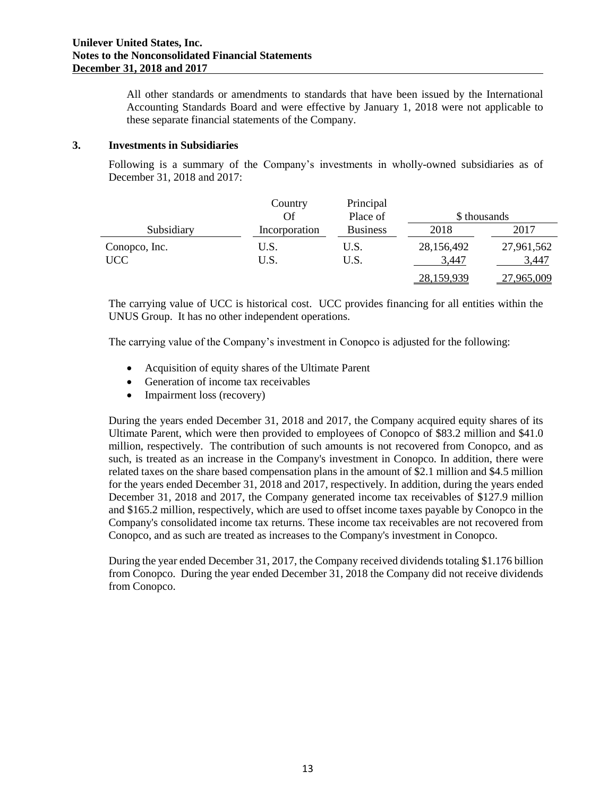All other standards or amendments to standards that have been issued by the International Accounting Standards Board and were effective by January 1, 2018 were not applicable to these separate financial statements of the Company.

### **3. Investments in Subsidiaries**

Following is a summary of the Company's investments in wholly-owned subsidiaries as of December 31, 2018 and 2017:

|               | Country<br>Of | Principal<br>Place of | \$ thousands |                   |
|---------------|---------------|-----------------------|--------------|-------------------|
| Subsidiary    | Incorporation | <b>Business</b>       | 2018         | 2017              |
| Conopco, Inc. | U.S.          | U.S.                  | 28,156,492   | 27,961,562        |
| <b>UCC</b>    | U.S.          | U.S.                  | 3,447        | 3,447             |
|               |               |                       | 28,159,939   | <u>27,965,009</u> |

The carrying value of UCC is historical cost. UCC provides financing for all entities within the UNUS Group. It has no other independent operations.

The carrying value of the Company's investment in Conopco is adjusted for the following:

- Acquisition of equity shares of the Ultimate Parent
- Generation of income tax receivables
- Impairment loss (recovery)

During the years ended December 31, 2018 and 2017, the Company acquired equity shares of its Ultimate Parent, which were then provided to employees of Conopco of \$83.2 million and \$41.0 million, respectively. The contribution of such amounts is not recovered from Conopco, and as such, is treated as an increase in the Company's investment in Conopco. In addition, there were related taxes on the share based compensation plans in the amount of \$2.1 million and \$4.5 million for the years ended December 31, 2018 and 2017, respectively. In addition, during the years ended December 31, 2018 and 2017, the Company generated income tax receivables of \$127.9 million and \$165.2 million, respectively, which are used to offset income taxes payable by Conopco in the Company's consolidated income tax returns. These income tax receivables are not recovered from Conopco, and as such are treated as increases to the Company's investment in Conopco.

During the year ended December 31, 2017, the Company received dividends totaling \$1.176 billion from Conopco. During the year ended December 31, 2018 the Company did not receive dividends from Conopco.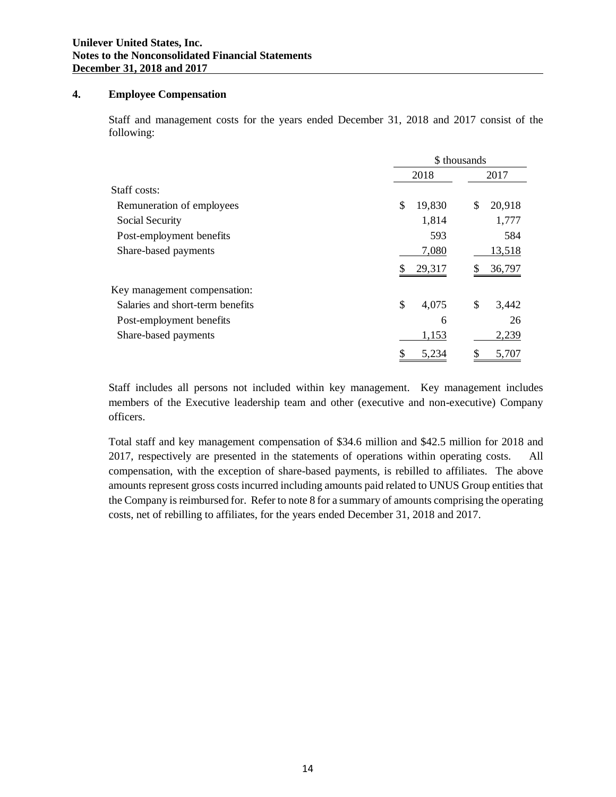# **4. Employee Compensation**

Staff and management costs for the years ended December 31, 2018 and 2017 consist of the following:

|                                  |              | \$ thousands |  |  |  |  |  |  |
|----------------------------------|--------------|--------------|--|--|--|--|--|--|
|                                  | 2018         | 2017         |  |  |  |  |  |  |
| Staff costs:                     |              |              |  |  |  |  |  |  |
| Remuneration of employees        | \$<br>19,830 | \$<br>20,918 |  |  |  |  |  |  |
| Social Security                  | 1,814        | 1,777        |  |  |  |  |  |  |
| Post-employment benefits         | 593          | 584          |  |  |  |  |  |  |
| Share-based payments             | 7,080        | 13,518       |  |  |  |  |  |  |
|                                  | 29,317       | 36,797       |  |  |  |  |  |  |
| Key management compensation:     |              |              |  |  |  |  |  |  |
| Salaries and short-term benefits | \$<br>4,075  | \$<br>3,442  |  |  |  |  |  |  |
| Post-employment benefits         | 6            | 26           |  |  |  |  |  |  |
| Share-based payments             | 1,153        | 2,239        |  |  |  |  |  |  |
|                                  | \$<br>5,234  | 5,707<br>S   |  |  |  |  |  |  |

Staff includes all persons not included within key management. Key management includes members of the Executive leadership team and other (executive and non-executive) Company officers.

Total staff and key management compensation of \$34.6 million and \$42.5 million for 2018 and 2017, respectively are presented in the statements of operations within operating costs. All compensation, with the exception of share-based payments, is rebilled to affiliates. The above amounts represent gross costs incurred including amounts paid related to UNUS Group entities that the Company is reimbursed for. Refer to note 8 for a summary of amounts comprising the operating costs, net of rebilling to affiliates, for the years ended December 31, 2018 and 2017.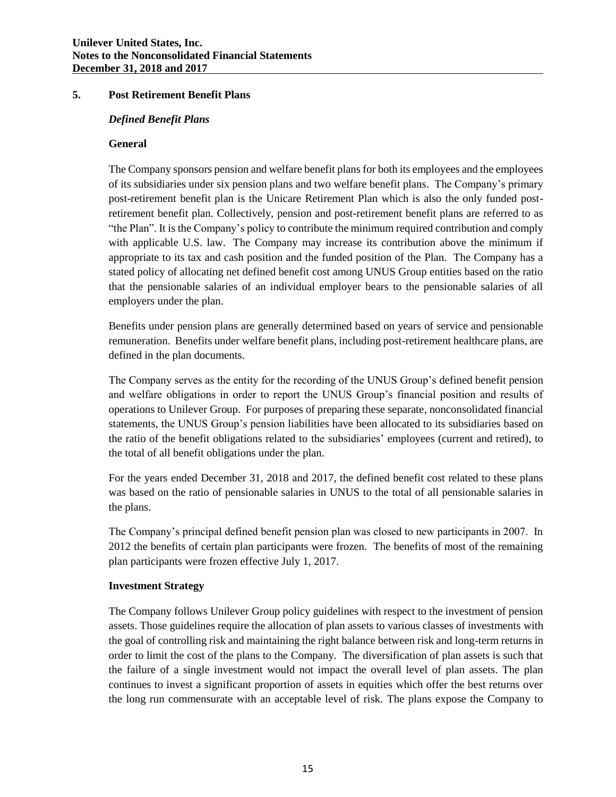# **5. Post Retirement Benefit Plans**

# *Defined Benefit Plans*

# **General**

The Company sponsors pension and welfare benefit plans for both its employees and the employees of its subsidiaries under six pension plans and two welfare benefit plans. The Company's primary post-retirement benefit plan is the Unicare Retirement Plan which is also the only funded postretirement benefit plan. Collectively, pension and post-retirement benefit plans are referred to as "the Plan". It is the Company's policy to contribute the minimum required contribution and comply with applicable U.S. law. The Company may increase its contribution above the minimum if appropriate to its tax and cash position and the funded position of the Plan. The Company has a stated policy of allocating net defined benefit cost among UNUS Group entities based on the ratio that the pensionable salaries of an individual employer bears to the pensionable salaries of all employers under the plan.

Benefits under pension plans are generally determined based on years of service and pensionable remuneration. Benefits under welfare benefit plans, including post-retirement healthcare plans, are defined in the plan documents.

The Company serves as the entity for the recording of the UNUS Group's defined benefit pension and welfare obligations in order to report the UNUS Group's financial position and results of operations to Unilever Group. For purposes of preparing these separate, nonconsolidated financial statements, the UNUS Group's pension liabilities have been allocated to its subsidiaries based on the ratio of the benefit obligations related to the subsidiaries' employees (current and retired), to the total of all benefit obligations under the plan.

For the years ended December 31, 2018 and 2017, the defined benefit cost related to these plans was based on the ratio of pensionable salaries in UNUS to the total of all pensionable salaries in the plans.

The Company's principal defined benefit pension plan was closed to new participants in 2007. In 2012 the benefits of certain plan participants were frozen. The benefits of most of the remaining plan participants were frozen effective July 1, 2017.

# **Investment Strategy**

The Company follows Unilever Group policy guidelines with respect to the investment of pension assets. Those guidelines require the allocation of plan assets to various classes of investments with the goal of controlling risk and maintaining the right balance between risk and long-term returns in order to limit the cost of the plans to the Company. The diversification of plan assets is such that the failure of a single investment would not impact the overall level of plan assets. The plan continues to invest a significant proportion of assets in equities which offer the best returns over the long run commensurate with an acceptable level of risk. The plans expose the Company to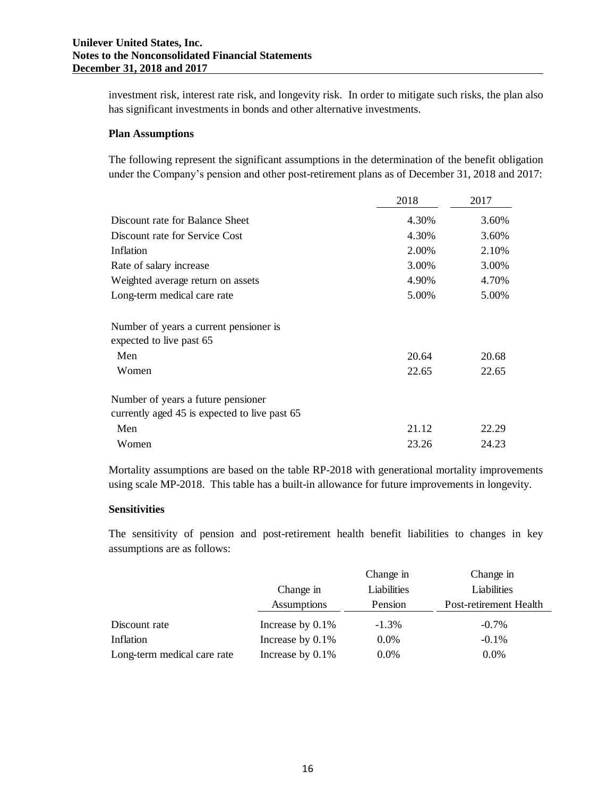investment risk, interest rate risk, and longevity risk. In order to mitigate such risks, the plan also has significant investments in bonds and other alternative investments.

### **Plan Assumptions**

The following represent the significant assumptions in the determination of the benefit obligation under the Company's pension and other post-retirement plans as of December 31, 2018 and 2017:

|                                               | 2018  | 2017  |
|-----------------------------------------------|-------|-------|
| Discount rate for Balance Sheet               | 4.30% | 3.60% |
| Discount rate for Service Cost                | 4.30% | 3.60% |
| Inflation                                     | 2.00% | 2.10% |
| Rate of salary increase                       | 3.00% | 3.00% |
| Weighted average return on assets             | 4.90% | 4.70% |
| Long-term medical care rate                   | 5.00% | 5.00% |
| Number of years a current pensioner is        |       |       |
| expected to live past 65                      |       |       |
| Men                                           | 20.64 | 20.68 |
| Women                                         | 22.65 | 22.65 |
| Number of years a future pensioner            |       |       |
| currently aged 45 is expected to live past 65 |       |       |
| Men                                           | 21.12 | 22.29 |
| Women                                         | 23.26 | 24.23 |

Mortality assumptions are based on the table RP-2018 with generational mortality improvements using scale MP-2018. This table has a built-in allowance for future improvements in longevity.

# **Sensitivities**

The sensitivity of pension and post-retirement health benefit liabilities to changes in key assumptions are as follows:

|                             |                     | Change in   | Change in              |
|-----------------------------|---------------------|-------------|------------------------|
|                             | Change in           | Liabilities | Liabilities            |
|                             | <b>Assumptions</b>  | Pension     | Post-retirement Health |
| Discount rate               | Increase by 0.1%    | $-1.3\%$    | $-0.7\%$               |
| Inflation                   | Increase by $0.1\%$ | $0.0\%$     | $-0.1%$                |
| Long-term medical care rate | Increase by 0.1%    | $0.0\%$     | $0.0\%$                |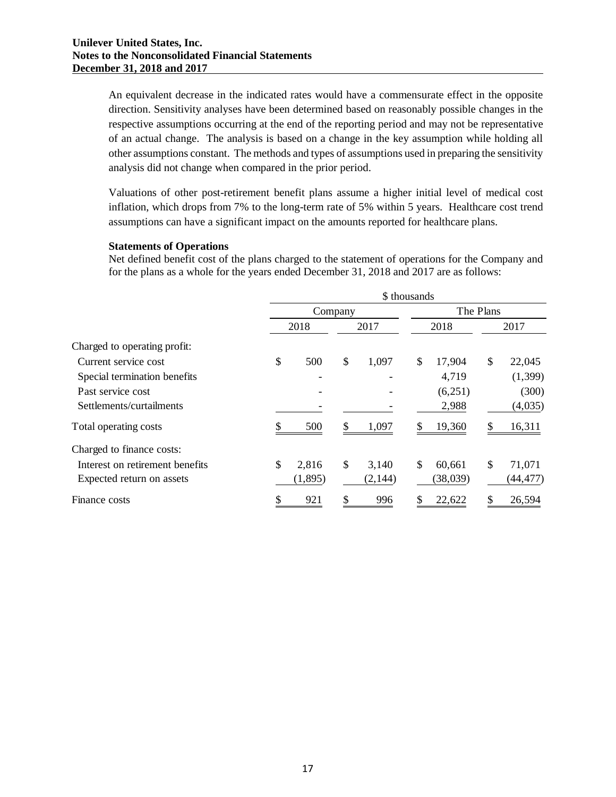An equivalent decrease in the indicated rates would have a commensurate effect in the opposite direction. Sensitivity analyses have been determined based on reasonably possible changes in the respective assumptions occurring at the end of the reporting period and may not be representative of an actual change. The analysis is based on a change in the key assumption while holding all other assumptions constant. The methods and types of assumptions used in preparing the sensitivity analysis did not change when compared in the prior period.

Valuations of other post-retirement benefit plans assume a higher initial level of medical cost inflation, which drops from 7% to the long-term rate of 5% within 5 years. Healthcare cost trend assumptions can have a significant impact on the amounts reported for healthcare plans.

# **Statements of Operations**

Net defined benefit cost of the plans charged to the statement of operations for the Company and for the plans as a whole for the years ended December 31, 2018 and 2017 are as follows:

|                                 |    | \$ thousands |    |          |           |          |               |           |
|---------------------------------|----|--------------|----|----------|-----------|----------|---------------|-----------|
|                                 |    | Company      |    |          | The Plans |          |               |           |
|                                 |    | 2018         |    | 2017     |           | 2018     |               | 2017      |
| Charged to operating profit:    |    |              |    |          |           |          |               |           |
| Current service cost            | \$ | 500          | \$ | 1,097    | \$        | 17,904   | $\mathcal{S}$ | 22,045    |
| Special termination benefits    |    |              |    |          |           | 4,719    |               | (1,399)   |
| Past service cost               |    |              |    |          |           | (6,251)  |               | (300)     |
| Settlements/curtailments        |    |              |    |          |           | 2,988    |               | (4,035)   |
| Total operating costs           |    | 500          |    | 1,097    | S         | 19,360   | \$            | 16,311    |
| Charged to finance costs:       |    |              |    |          |           |          |               |           |
| Interest on retirement benefits | \$ | 2,816        | \$ | 3,140    | \$        | 60,661   | \$            | 71,071    |
| Expected return on assets       |    | (1, 895)     |    | (2, 144) |           | (38,039) |               | (44, 477) |
| Finance costs                   | S  | 921          | S  | 996      | S         | 22,622   | \$            | 26,594    |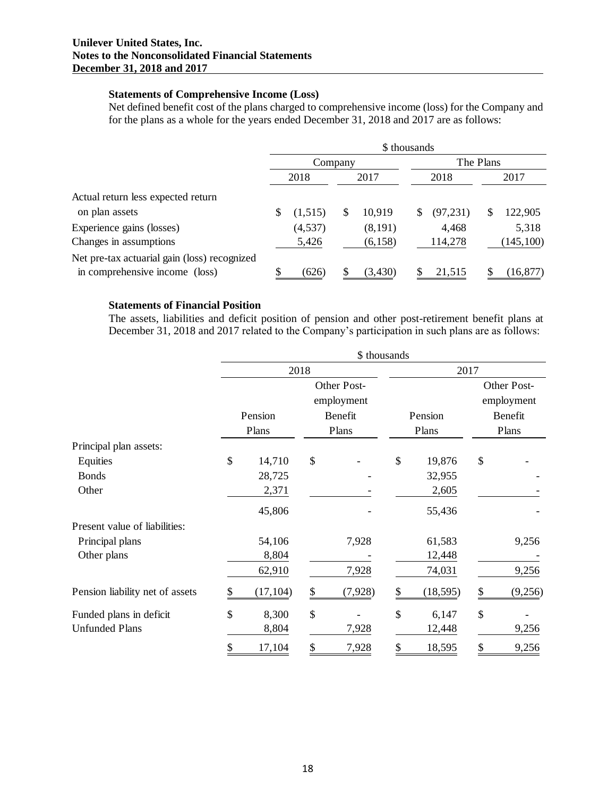# **Statements of Comprehensive Income (Loss)**

Net defined benefit cost of the plans charged to comprehensive income (loss) for the Company and for the plans as a whole for the years ended December 31, 2018 and 2017 are as follows:

|                                              | \$ thousands |          |  |           |   |           |    |            |
|----------------------------------------------|--------------|----------|--|-----------|---|-----------|----|------------|
|                                              | Company      |          |  | The Plans |   |           |    |            |
|                                              |              | 2018     |  | 2017      |   | 2018      |    | 2017       |
| Actual return less expected return           |              |          |  |           |   |           |    |            |
| on plan assets                               | \$           | (1,515)  |  | 10.919    | S | (97, 231) | \$ | 122,905    |
| Experience gains (losses)                    |              | (4, 537) |  | (8, 191)  |   | 4,468     |    | 5,318      |
| Changes in assumptions                       |              | 5,426    |  | (6, 158)  |   | 114,278   |    | (145, 100) |
| Net pre-tax actuarial gain (loss) recognized |              |          |  |           |   |           |    |            |
| in comprehensive income (loss)               |              | (626)    |  | (3,430)   |   | 21,515    |    | (16, 877)  |

# **Statements of Financial Position**

The assets, liabilities and deficit position of pension and other post-retirement benefit plans at December 31, 2018 and 2017 related to the Company's participation in such plans are as follows:

|                                 | \$ thousands |                  |    |                           |      |                  |    |                           |
|---------------------------------|--------------|------------------|----|---------------------------|------|------------------|----|---------------------------|
|                                 |              | 2018             |    |                           | 2017 |                  |    |                           |
|                                 |              |                  |    | Other Post-<br>employment |      |                  |    | Other Post-<br>employment |
|                                 |              | Pension<br>Plans |    | Benefit<br>Plans          |      | Pension<br>Plans |    | Benefit<br>Plans          |
| Principal plan assets:          |              |                  |    |                           |      |                  |    |                           |
| Equities                        | \$           | 14,710           | \$ |                           | \$   | 19,876           | \$ |                           |
| <b>Bonds</b>                    |              | 28,725           |    |                           |      | 32,955           |    |                           |
| Other                           |              | 2,371            |    |                           |      | 2,605            |    |                           |
|                                 |              | 45,806           |    |                           |      | 55,436           |    |                           |
| Present value of liabilities:   |              |                  |    |                           |      |                  |    |                           |
| Principal plans                 |              | 54,106           |    | 7,928                     |      | 61,583           |    | 9,256                     |
| Other plans                     |              | 8,804            |    |                           |      | 12,448           |    |                           |
|                                 |              | 62,910           |    | 7,928                     |      | 74,031           |    | 9,256                     |
| Pension liability net of assets |              | (17, 104)        | \$ | (7, 928)                  | \$   | (18, 595)        | \$ | (9,256)                   |
| Funded plans in deficit         | \$           | 8,300            | \$ |                           | \$   | 6,147            | \$ |                           |
| <b>Unfunded Plans</b>           |              | 8,804            |    | 7,928                     |      | 12,448           |    | 9,256                     |
|                                 | \$           | 17,104           | \$ | 7,928                     | \$   | 18,595           | \$ | 9,256                     |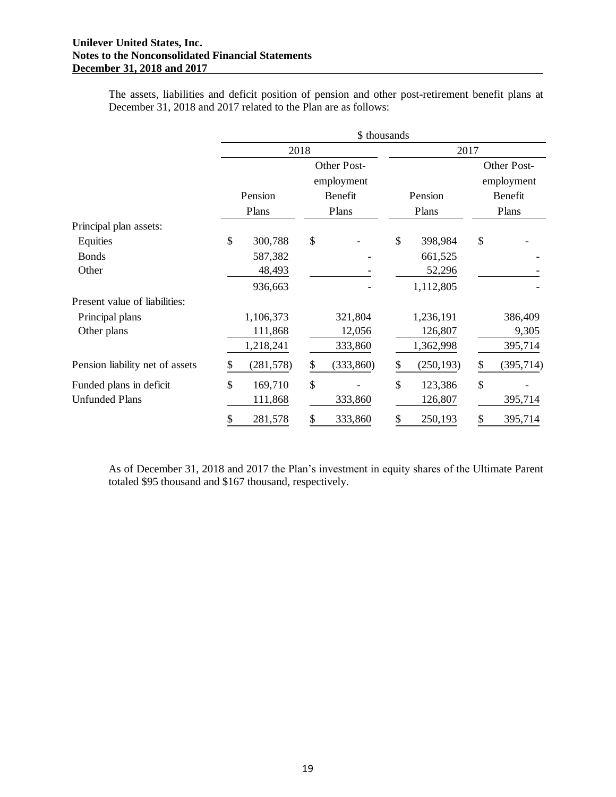The assets, liabilities and deficit position of pension and other post-retirement benefit plans at December 31, 2018 and 2017 related to the Plan are as follows:

|                                 |      | \$ thousands |    |             |      |            |    |             |
|---------------------------------|------|--------------|----|-------------|------|------------|----|-------------|
|                                 | 2018 |              |    |             | 2017 |            |    |             |
|                                 |      |              |    | Other Post- |      |            |    | Other Post- |
|                                 |      |              |    | employment  |      |            |    | employment  |
|                                 |      | Pension      |    | Benefit     |      | Pension    |    | Benefit     |
|                                 |      | Plans        |    | Plans       |      | Plans      |    | Plans       |
| Principal plan assets:          |      |              |    |             |      |            |    |             |
| Equities                        | \$   | 300,788      | \$ |             | \$   | 398,984    | \$ |             |
| <b>Bonds</b>                    |      | 587,382      |    |             |      | 661,525    |    |             |
| Other                           |      | 48,493       |    |             |      | 52,296     |    |             |
|                                 |      | 936,663      |    |             |      | 1,112,805  |    |             |
| Present value of liabilities:   |      |              |    |             |      |            |    |             |
| Principal plans                 |      | 1,106,373    |    | 321,804     |      | 1,236,191  |    | 386,409     |
| Other plans                     |      | 111,868      |    | 12,056      |      | 126,807    |    | 9,305       |
|                                 |      | 1,218,241    |    | 333,860     |      | 1,362,998  |    | 395,714     |
| Pension liability net of assets |      | (281, 578)   | \$ | (333, 860)  | S    | (250, 193) | \$ | (395, 714)  |
| Funded plans in deficit         | \$   | 169,710      | \$ |             | \$   | 123,386    | \$ |             |
| <b>Unfunded Plans</b>           |      | 111,868      |    | 333,860     |      | 126,807    |    | 395,714     |
|                                 | \$   | 281,578      | \$ | 333,860     | \$   | 250,193    | \$ | 395,714     |

As of December 31, 2018 and 2017 the Plan's investment in equity shares of the Ultimate Parent totaled \$95 thousand and \$167 thousand, respectively.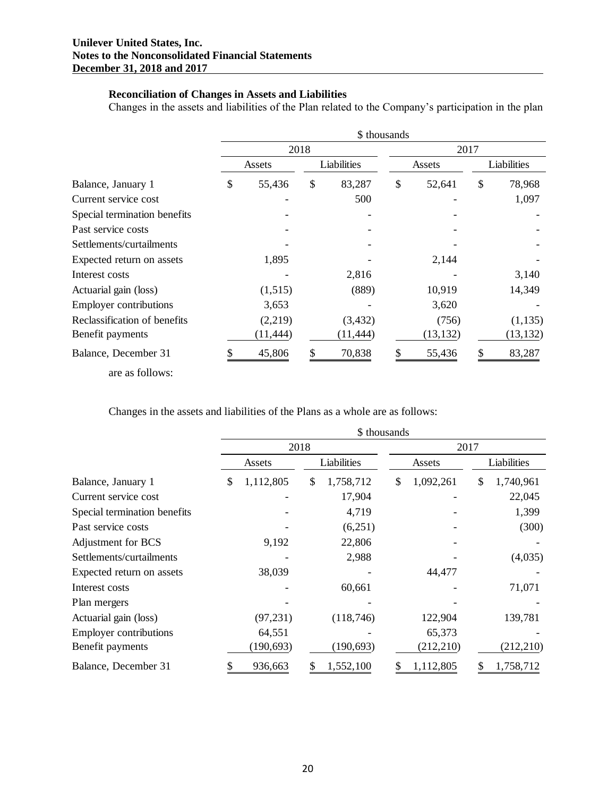# **Reconciliation of Changes in Assets and Liabilities**

Changes in the assets and liabilities of the Plan related to the Company's participation in the plan

|                               | \$ thousands |           |    |             |    |           |    |             |
|-------------------------------|--------------|-----------|----|-------------|----|-----------|----|-------------|
|                               |              | 2018      |    |             |    | 2017      |    |             |
|                               |              | Assets    |    | Liabilities |    | Assets    |    | Liabilities |
| Balance, January 1            | \$           | 55,436    | \$ | 83,287      | \$ | 52,641    | \$ | 78,968      |
| Current service cost          |              |           |    | 500         |    |           |    | 1,097       |
| Special termination benefits  |              |           |    |             |    |           |    |             |
| Past service costs            |              |           |    |             |    |           |    |             |
| Settlements/curtailments      |              |           |    |             |    |           |    |             |
| Expected return on assets     |              | 1,895     |    |             |    | 2,144     |    |             |
| Interest costs                |              |           |    | 2,816       |    |           |    | 3,140       |
| Actuarial gain (loss)         |              | (1,515)   |    | (889)       |    | 10,919    |    | 14,349      |
| <b>Employer contributions</b> |              | 3,653     |    |             |    | 3,620     |    |             |
| Reclassification of benefits  |              | (2,219)   |    | (3, 432)    |    | (756)     |    | (1,135)     |
| Benefit payments              |              | (11, 444) |    | (11, 444)   |    | (13, 132) |    | (13, 132)   |
| Balance, December 31          |              | 45,806    | \$ | 70,838      |    | 55,436    |    | 83,287      |

are as follows:

Changes in the assets and liabilities of the Plans as a whole are as follows:

|                               | \$ thousands |            |      |             |    |            |    |             |  |
|-------------------------------|--------------|------------|------|-------------|----|------------|----|-------------|--|
|                               |              |            | 2018 |             |    | 2017       |    |             |  |
|                               |              | Assets     |      | Liabilities |    | Assets     |    | Liabilities |  |
| Balance, January 1            | \$           | 1,112,805  | \$   | 1,758,712   | \$ | 1,092,261  | \$ | 1,740,961   |  |
| Current service cost          |              |            |      | 17,904      |    |            |    | 22,045      |  |
| Special termination benefits  |              |            |      | 4,719       |    |            |    | 1,399       |  |
| Past service costs            |              |            |      | (6,251)     |    |            |    | (300)       |  |
| Adjustment for BCS            |              | 9,192      |      | 22,806      |    |            |    |             |  |
| Settlements/curtailments      |              |            |      | 2,988       |    |            |    | (4,035)     |  |
| Expected return on assets     |              | 38,039     |      |             |    | 44,477     |    |             |  |
| Interest costs                |              |            |      | 60,661      |    |            |    | 71,071      |  |
| Plan mergers                  |              |            |      |             |    |            |    |             |  |
| Actuarial gain (loss)         |              | (97, 231)  |      | (118, 746)  |    | 122,904    |    | 139,781     |  |
| <b>Employer contributions</b> |              | 64,551     |      |             |    | 65,373     |    |             |  |
| Benefit payments              |              | (190, 693) |      | (190, 693)  |    | (212, 210) |    | (212, 210)  |  |
| Balance, December 31          |              | 936,663    | S    | 1,552,100   |    | 1,112,805  | \$ | 1,758,712   |  |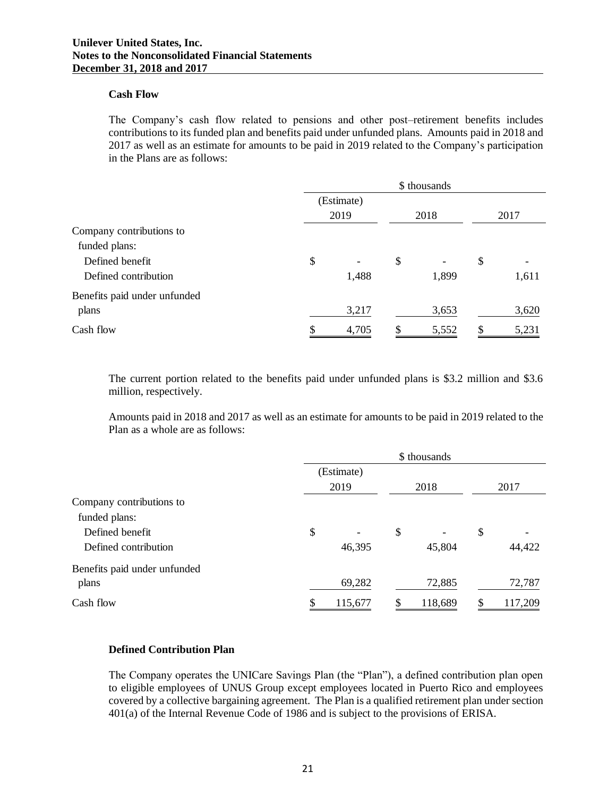### **Cash Flow**

The Company's cash flow related to pensions and other post–retirement benefits includes contributions to its funded plan and benefits paid under unfunded plans. Amounts paid in 2018 and 2017 as well as an estimate for amounts to be paid in 2019 related to the Company's participation in the Plans are as follows:

|                              | \$ thousands |            |    |       |    |       |  |
|------------------------------|--------------|------------|----|-------|----|-------|--|
|                              |              | (Estimate) |    |       |    |       |  |
|                              |              | 2019       |    | 2018  |    | 2017  |  |
| Company contributions to     |              |            |    |       |    |       |  |
| funded plans:                |              |            |    |       |    |       |  |
| Defined benefit              | \$           |            | \$ |       | \$ |       |  |
| Defined contribution         |              | 1,488      |    | 1,899 |    | 1,611 |  |
| Benefits paid under unfunded |              |            |    |       |    |       |  |
| plans                        |              | 3,217      |    | 3,653 |    | 3,620 |  |
| Cash flow                    |              | 4,705      |    | 5,552 |    | 5,231 |  |

The current portion related to the benefits paid under unfunded plans is \$3.2 million and \$3.6 million, respectively.

Amounts paid in 2018 and 2017 as well as an estimate for amounts to be paid in 2019 related to the Plan as a whole are as follows:

|                              | \$ thousands |            |    |         |    |         |  |
|------------------------------|--------------|------------|----|---------|----|---------|--|
|                              |              | (Estimate) |    |         |    |         |  |
|                              |              | 2019       |    | 2018    |    | 2017    |  |
| Company contributions to     |              |            |    |         |    |         |  |
| funded plans:                |              |            |    |         |    |         |  |
| Defined benefit              | \$           |            | \$ |         | \$ |         |  |
| Defined contribution         |              | 46,395     |    | 45,804  |    | 44,422  |  |
| Benefits paid under unfunded |              |            |    |         |    |         |  |
| plans                        |              | 69,282     |    | 72,885  |    | 72,787  |  |
| Cash flow                    |              | 115,677    |    | 118,689 |    | 117,209 |  |

# **Defined Contribution Plan**

The Company operates the UNICare Savings Plan (the "Plan"), a defined contribution plan open to eligible employees of UNUS Group except employees located in Puerto Rico and employees covered by a collective bargaining agreement. The Plan is a qualified retirement plan under section 401(a) of the Internal Revenue Code of 1986 and is subject to the provisions of ERISA.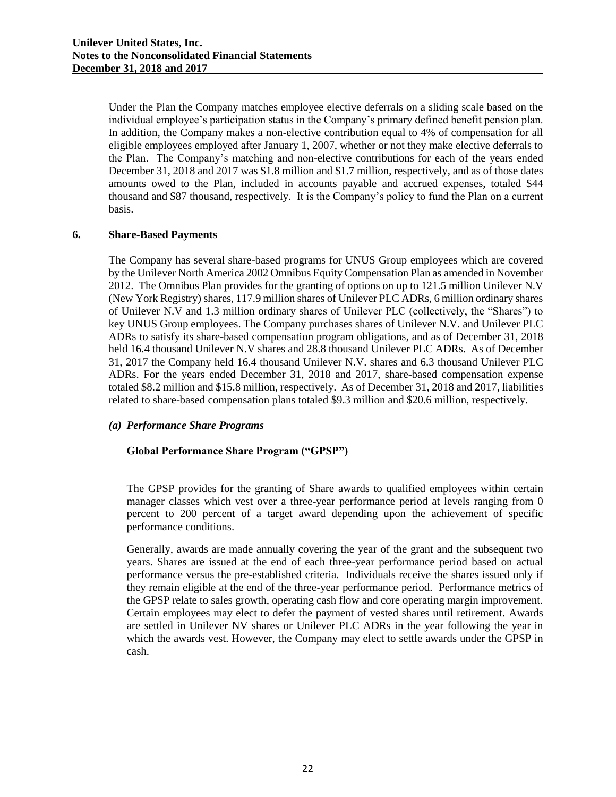Under the Plan the Company matches employee elective deferrals on a sliding scale based on the individual employee's participation status in the Company's primary defined benefit pension plan. In addition, the Company makes a non-elective contribution equal to 4% of compensation for all eligible employees employed after January 1, 2007, whether or not they make elective deferrals to the Plan. The Company's matching and non-elective contributions for each of the years ended December 31, 2018 and 2017 was \$1.8 million and \$1.7 million, respectively, and as of those dates amounts owed to the Plan, included in accounts payable and accrued expenses, totaled \$44 thousand and \$87 thousand, respectively. It is the Company's policy to fund the Plan on a current basis.

# **6. Share-Based Payments**

The Company has several share-based programs for UNUS Group employees which are covered by the Unilever North America 2002 Omnibus Equity Compensation Plan as amended in November 2012. The Omnibus Plan provides for the granting of options on up to 121.5 million Unilever N.V (New York Registry) shares, 117.9 million shares of Unilever PLC ADRs, 6 million ordinary shares of Unilever N.V and 1.3 million ordinary shares of Unilever PLC (collectively, the "Shares") to key UNUS Group employees. The Company purchases shares of Unilever N.V. and Unilever PLC ADRs to satisfy its share-based compensation program obligations, and as of December 31, 2018 held 16.4 thousand Unilever N.V shares and 28.8 thousand Unilever PLC ADRs. As of December 31, 2017 the Company held 16.4 thousand Unilever N.V. shares and 6.3 thousand Unilever PLC ADRs. For the years ended December 31, 2018 and 2017, share-based compensation expense totaled \$8.2 million and \$15.8 million, respectively. As of December 31, 2018 and 2017, liabilities related to share-based compensation plans totaled \$9.3 million and \$20.6 million, respectively.

# *(a) Performance Share Programs*

# **Global Performance Share Program ("GPSP")**

The GPSP provides for the granting of Share awards to qualified employees within certain manager classes which vest over a three-year performance period at levels ranging from 0 percent to 200 percent of a target award depending upon the achievement of specific performance conditions.

Generally, awards are made annually covering the year of the grant and the subsequent two years. Shares are issued at the end of each three-year performance period based on actual performance versus the pre-established criteria. Individuals receive the shares issued only if they remain eligible at the end of the three-year performance period. Performance metrics of the GPSP relate to sales growth, operating cash flow and core operating margin improvement. Certain employees may elect to defer the payment of vested shares until retirement. Awards are settled in Unilever NV shares or Unilever PLC ADRs in the year following the year in which the awards vest. However, the Company may elect to settle awards under the GPSP in cash.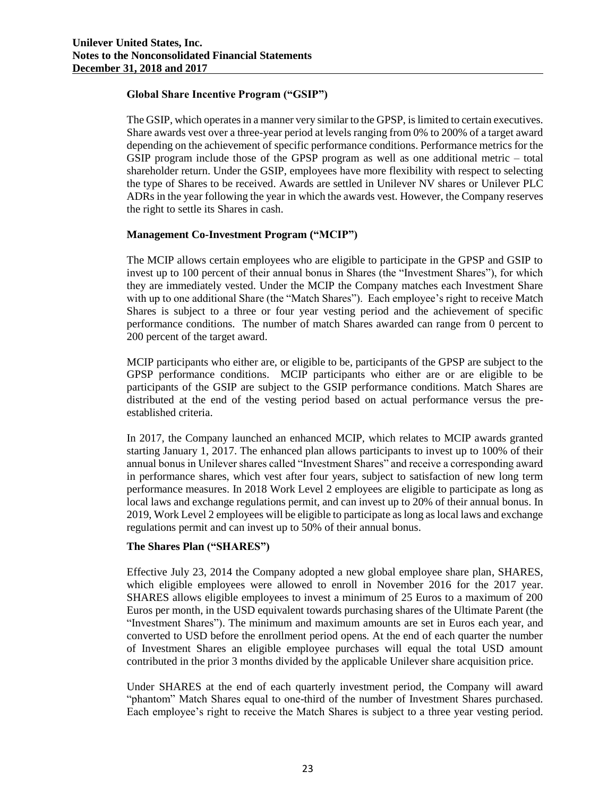# **Global Share Incentive Program ("GSIP")**

The GSIP, which operates in a manner very similar to the GPSP, is limited to certain executives. Share awards vest over a three-year period at levels ranging from 0% to 200% of a target award depending on the achievement of specific performance conditions. Performance metrics for the GSIP program include those of the GPSP program as well as one additional metric – total shareholder return. Under the GSIP, employees have more flexibility with respect to selecting the type of Shares to be received. Awards are settled in Unilever NV shares or Unilever PLC ADRs in the year following the year in which the awards vest. However, the Company reserves the right to settle its Shares in cash.

# **Management Co-Investment Program ("MCIP")**

The MCIP allows certain employees who are eligible to participate in the GPSP and GSIP to invest up to 100 percent of their annual bonus in Shares (the "Investment Shares"), for which they are immediately vested. Under the MCIP the Company matches each Investment Share with up to one additional Share (the "Match Shares"). Each employee's right to receive Match Shares is subject to a three or four year vesting period and the achievement of specific performance conditions. The number of match Shares awarded can range from 0 percent to 200 percent of the target award.

MCIP participants who either are, or eligible to be, participants of the GPSP are subject to the GPSP performance conditions. MCIP participants who either are or are eligible to be participants of the GSIP are subject to the GSIP performance conditions. Match Shares are distributed at the end of the vesting period based on actual performance versus the preestablished criteria.

In 2017, the Company launched an enhanced MCIP, which relates to MCIP awards granted starting January 1, 2017. The enhanced plan allows participants to invest up to 100% of their annual bonus in Unilever shares called "Investment Shares" and receive a corresponding award in performance shares, which vest after four years, subject to satisfaction of new long term performance measures. In 2018 Work Level 2 employees are eligible to participate as long as local laws and exchange regulations permit, and can invest up to 20% of their annual bonus. In 2019, Work Level 2 employees will be eligible to participate as long as local laws and exchange regulations permit and can invest up to 50% of their annual bonus.

# **The Shares Plan ("SHARES")**

Effective July 23, 2014 the Company adopted a new global employee share plan, SHARES, which eligible employees were allowed to enroll in November 2016 for the 2017 year. SHARES allows eligible employees to invest a minimum of 25 Euros to a maximum of 200 Euros per month, in the USD equivalent towards purchasing shares of the Ultimate Parent (the "Investment Shares"). The minimum and maximum amounts are set in Euros each year, and converted to USD before the enrollment period opens. At the end of each quarter the number of Investment Shares an eligible employee purchases will equal the total USD amount contributed in the prior 3 months divided by the applicable Unilever share acquisition price.

Under SHARES at the end of each quarterly investment period, the Company will award "phantom" Match Shares equal to one-third of the number of Investment Shares purchased. Each employee's right to receive the Match Shares is subject to a three year vesting period.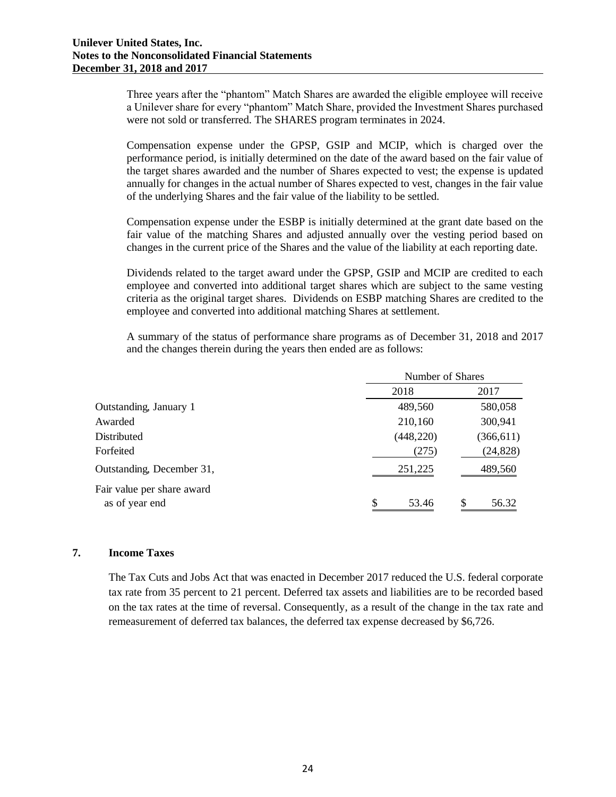Three years after the "phantom" Match Shares are awarded the eligible employee will receive a Unilever share for every "phantom" Match Share, provided the Investment Shares purchased were not sold or transferred. The SHARES program terminates in 2024.

Compensation expense under the GPSP, GSIP and MCIP, which is charged over the performance period, is initially determined on the date of the award based on the fair value of the target shares awarded and the number of Shares expected to vest; the expense is updated annually for changes in the actual number of Shares expected to vest, changes in the fair value of the underlying Shares and the fair value of the liability to be settled.

Compensation expense under the ESBP is initially determined at the grant date based on the fair value of the matching Shares and adjusted annually over the vesting period based on changes in the current price of the Shares and the value of the liability at each reporting date.

Dividends related to the target award under the GPSP, GSIP and MCIP are credited to each employee and converted into additional target shares which are subject to the same vesting criteria as the original target shares. Dividends on ESBP matching Shares are credited to the employee and converted into additional matching Shares at settlement.

A summary of the status of performance share programs as of December 31, 2018 and 2017 and the changes therein during the years then ended are as follows:

|                                              | Number of Shares |             |  |  |
|----------------------------------------------|------------------|-------------|--|--|
|                                              | 2018             | 2017        |  |  |
| Outstanding, January 1                       | 489,560          | 580,058     |  |  |
| Awarded                                      | 210,160          | 300,941     |  |  |
| Distributed                                  | (448, 220)       | (366, 611)  |  |  |
| Forfeited                                    | (275)            | (24, 828)   |  |  |
| Outstanding, December 31,                    | 251,225          | 489,560     |  |  |
| Fair value per share award<br>as of year end | \$<br>53.46      | \$<br>56.32 |  |  |

#### **7. Income Taxes**

The Tax Cuts and Jobs Act that was enacted in December 2017 reduced the U.S. federal corporate tax rate from 35 percent to 21 percent. Deferred tax assets and liabilities are to be recorded based on the tax rates at the time of reversal. Consequently, as a result of the change in the tax rate and remeasurement of deferred tax balances, the deferred tax expense decreased by \$6,726.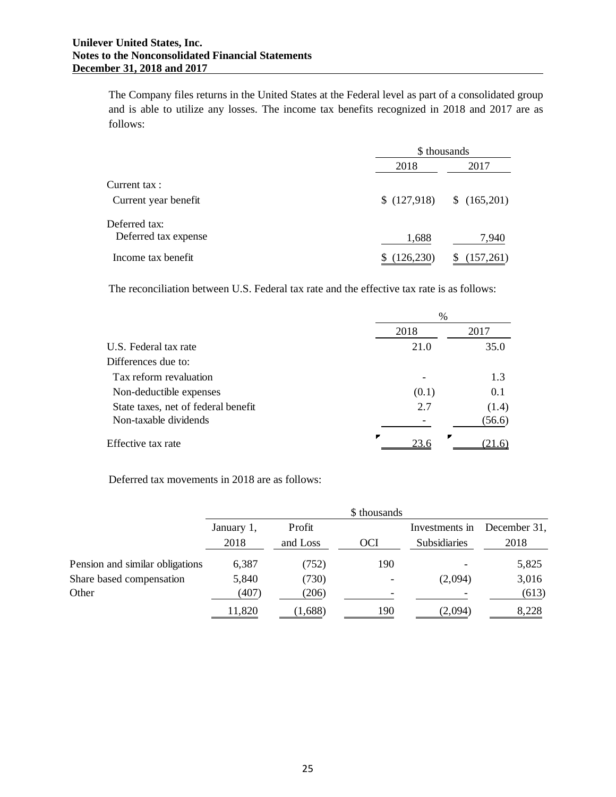The Company files returns in the United States at the Federal level as part of a consolidated group and is able to utilize any losses. The income tax benefits recognized in 2018 and 2017 are as follows:

|                      |            | \$ thousands |  |  |  |
|----------------------|------------|--------------|--|--|--|
|                      | 2018       | 2017         |  |  |  |
| Current tax :        |            |              |  |  |  |
| Current year benefit | (127,918)  | \$(165,201)  |  |  |  |
| Deferred tax:        |            |              |  |  |  |
| Deferred tax expense | 1,688      | 7,940        |  |  |  |
| Income tax benefit   | (126, 230) | (157,261)    |  |  |  |

The reconciliation between U.S. Federal tax rate and the effective tax rate is as follows:

|                                     | $\%$  |        |
|-------------------------------------|-------|--------|
|                                     | 2018  | 2017   |
| U.S. Federal tax rate               | 21.0  | 35.0   |
| Differences due to:                 |       |        |
| Tax reform revaluation              |       | 1.3    |
| Non-deductible expenses             | (0.1) | 0.1    |
| State taxes, net of federal benefit | 2.7   | (1.4)  |
| Non-taxable dividends               |       | (56.6) |
| Effective tax rate                  | 23.6  | (21.6) |

Deferred tax movements in 2018 are as follows:

|                                 |            |          | \$ thousands             |                     |              |
|---------------------------------|------------|----------|--------------------------|---------------------|--------------|
|                                 | January 1, | Profit   |                          | Investments in      | December 31, |
|                                 | 2018       | and Loss | <b>OCI</b>               | <b>Subsidiaries</b> | 2018         |
| Pension and similar obligations | 6,387      | (752)    | 190                      |                     | 5,825        |
| Share based compensation        | 5,840      | (730)    |                          | (2,094)             | 3,016        |
| Other                           | (407)      | (206)    | $\overline{\phantom{0}}$ |                     | (613)        |
|                                 | 11,820     | (1,688)  | 190                      | (2,094)             | 8,228        |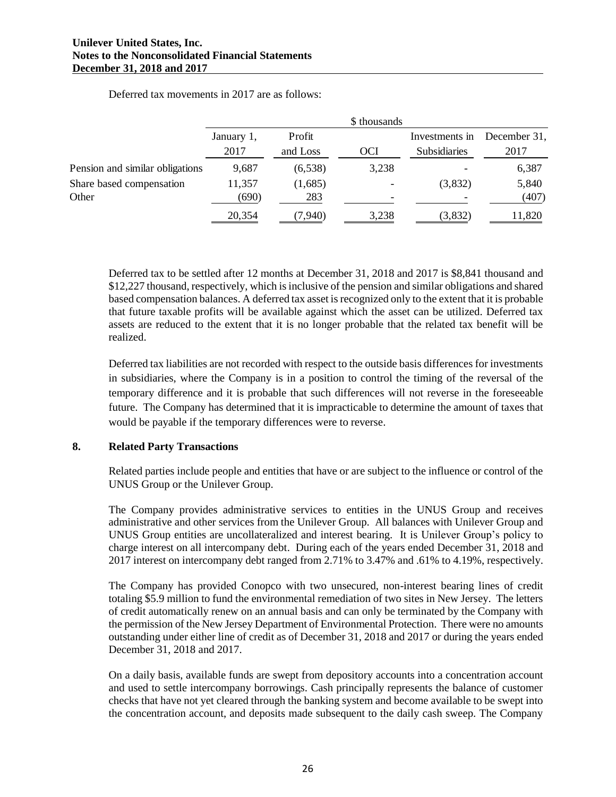|                                 |            |          | \$ thousands             |                     |              |
|---------------------------------|------------|----------|--------------------------|---------------------|--------------|
|                                 | January 1, | Profit   |                          | Investments in      | December 31, |
|                                 | 2017       | and Loss | OCI                      | <b>Subsidiaries</b> | 2017         |
| Pension and similar obligations | 9.687      | (6,538)  | 3,238                    |                     | 6,387        |
| Share based compensation        | 11,357     | (1,685)  |                          | (3,832)             | 5,840        |
| Other                           | (690)      | 283      | $\overline{\phantom{a}}$ |                     | (407)        |
|                                 | 20,354     | 7,940)   | 3,238                    | (3,832)             | 11,820       |

Deferred tax movements in 2017 are as follows:

Deferred tax to be settled after 12 months at December 31, 2018 and 2017 is \$8,841 thousand and \$12,227 thousand, respectively, which is inclusive of the pension and similar obligations and shared based compensation balances. A deferred tax asset is recognized only to the extent that it is probable that future taxable profits will be available against which the asset can be utilized. Deferred tax assets are reduced to the extent that it is no longer probable that the related tax benefit will be realized.

Deferred tax liabilities are not recorded with respect to the outside basis differences for investments in subsidiaries, where the Company is in a position to control the timing of the reversal of the temporary difference and it is probable that such differences will not reverse in the foreseeable future. The Company has determined that it is impracticable to determine the amount of taxes that would be payable if the temporary differences were to reverse.

# **8. Related Party Transactions**

Related parties include people and entities that have or are subject to the influence or control of the UNUS Group or the Unilever Group.

The Company provides administrative services to entities in the UNUS Group and receives administrative and other services from the Unilever Group. All balances with Unilever Group and UNUS Group entities are uncollateralized and interest bearing. It is Unilever Group's policy to charge interest on all intercompany debt. During each of the years ended December 31, 2018 and 2017 interest on intercompany debt ranged from 2.71% to 3.47% and .61% to 4.19%, respectively.

The Company has provided Conopco with two unsecured, non-interest bearing lines of credit totaling \$5.9 million to fund the environmental remediation of two sites in New Jersey. The letters of credit automatically renew on an annual basis and can only be terminated by the Company with the permission of the New Jersey Department of Environmental Protection. There were no amounts outstanding under either line of credit as of December 31, 2018 and 2017 or during the years ended December 31, 2018 and 2017.

On a daily basis, available funds are swept from depository accounts into a concentration account and used to settle intercompany borrowings. Cash principally represents the balance of customer checks that have not yet cleared through the banking system and become available to be swept into the concentration account, and deposits made subsequent to the daily cash sweep. The Company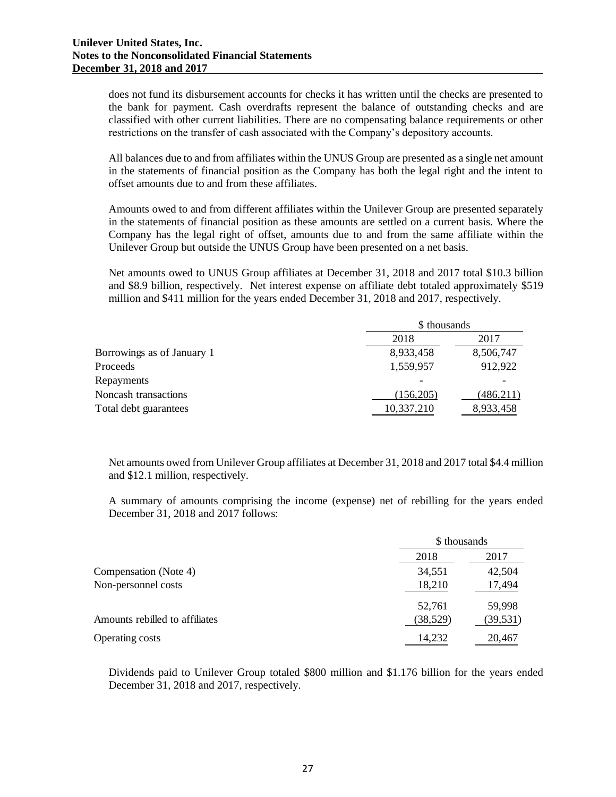does not fund its disbursement accounts for checks it has written until the checks are presented to the bank for payment. Cash overdrafts represent the balance of outstanding checks and are classified with other current liabilities. There are no compensating balance requirements or other restrictions on the transfer of cash associated with the Company's depository accounts.

All balances due to and from affiliates within the UNUS Group are presented as a single net amount in the statements of financial position as the Company has both the legal right and the intent to offset amounts due to and from these affiliates.

Amounts owed to and from different affiliates within the Unilever Group are presented separately in the statements of financial position as these amounts are settled on a current basis. Where the Company has the legal right of offset, amounts due to and from the same affiliate within the Unilever Group but outside the UNUS Group have been presented on a net basis.

Net amounts owed to UNUS Group affiliates at December 31, 2018 and 2017 total \$10.3 billion and \$8.9 billion, respectively. Net interest expense on affiliate debt totaled approximately \$519 million and \$411 million for the years ended December 31, 2018 and 2017, respectively.

|                            | \$ thousands |           |
|----------------------------|--------------|-----------|
|                            | 2018         | 2017      |
| Borrowings as of January 1 | 8,933,458    | 8,506,747 |
| Proceeds                   | 1,559,957    | 912,922   |
| Repayments                 |              |           |
| Noncash transactions       | (156, 205)   | (486,211) |
| Total debt guarantees      | 10,337,210   | 8,933,458 |

Net amounts owed from Unilever Group affiliates at December 31, 2018 and 2017 total \$4.4 million and \$12.1 million, respectively.

A summary of amounts comprising the income (expense) net of rebilling for the years ended December 31, 2018 and 2017 follows:

|                                | \$ thousands |           |
|--------------------------------|--------------|-----------|
|                                | 2018         | 2017      |
| Compensation (Note 4)          | 34,551       | 42,504    |
| Non-personnel costs            | 18,210       | 17,494    |
|                                | 52.761       | 59.998    |
| Amounts rebilled to affiliates | (38, 529)    | (39, 531) |
| Operating costs                | 14,232       | 20,467    |

Dividends paid to Unilever Group totaled \$800 million and \$1.176 billion for the years ended December 31, 2018 and 2017, respectively.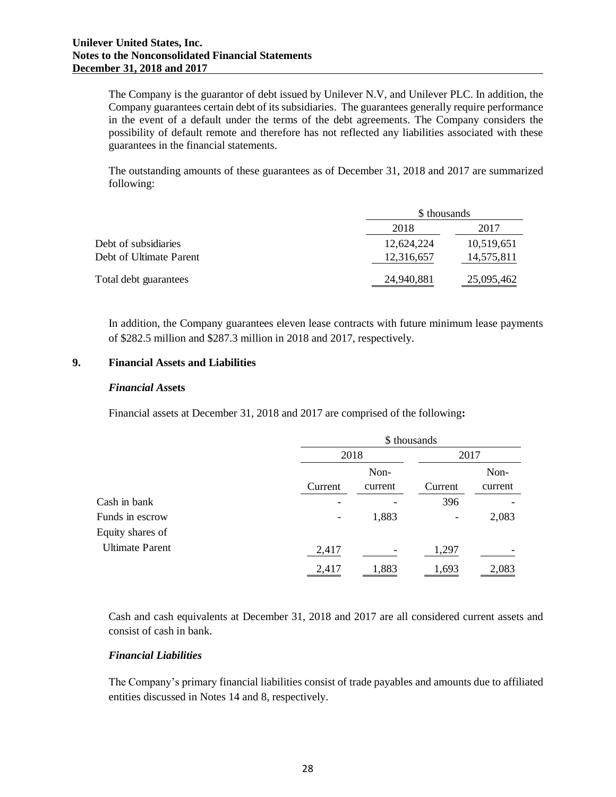The Company is the guarantor of debt issued by Unilever N.V, and Unilever PLC. In addition, the Company guarantees certain debt of its subsidiaries. The guarantees generally require performance in the event of a default under the terms of the debt agreements. The Company considers the possibility of default remote and therefore has not reflected any liabilities associated with these guarantees in the financial statements.

The outstanding amounts of these guarantees as of December 31, 2018 and 2017 are summarized following:

|                         | \$ thousands |            |  |
|-------------------------|--------------|------------|--|
|                         | 2018         | 2017       |  |
| Debt of subsidiaries    | 12,624,224   | 10,519,651 |  |
| Debt of Ultimate Parent | 12,316,657   | 14,575,811 |  |
| Total debt guarantees   | 24,940,881   | 25,095,462 |  |

In addition, the Company guarantees eleven lease contracts with future minimum lease payments of \$282.5 million and \$287.3 million in 2018 and 2017, respectively.

### **9. Financial Assets and Liabilities**

#### *Financial As***sets**

Financial assets at December 31, 2018 and 2017 are comprised of the following**:**

|                        |         | \$ thousands |         |         |  |
|------------------------|---------|--------------|---------|---------|--|
|                        |         | 2018         |         | 2017    |  |
|                        |         | Non-         |         | Non-    |  |
|                        | Current | current      | Current | current |  |
| Cash in bank           |         |              | 396     |         |  |
| Funds in escrow        |         | 1,883        |         | 2,083   |  |
| Equity shares of       |         |              |         |         |  |
| <b>Ultimate Parent</b> | 2,417   |              | 1,297   |         |  |
|                        | 2,417   | 1,883        | 1,693   | 2,083   |  |

Cash and cash equivalents at December 31, 2018 and 2017 are all considered current assets and consist of cash in bank.

#### *Financial Liabilities*

The Company's primary financial liabilities consist of trade payables and amounts due to affiliated entities discussed in Notes 14 and 8, respectively.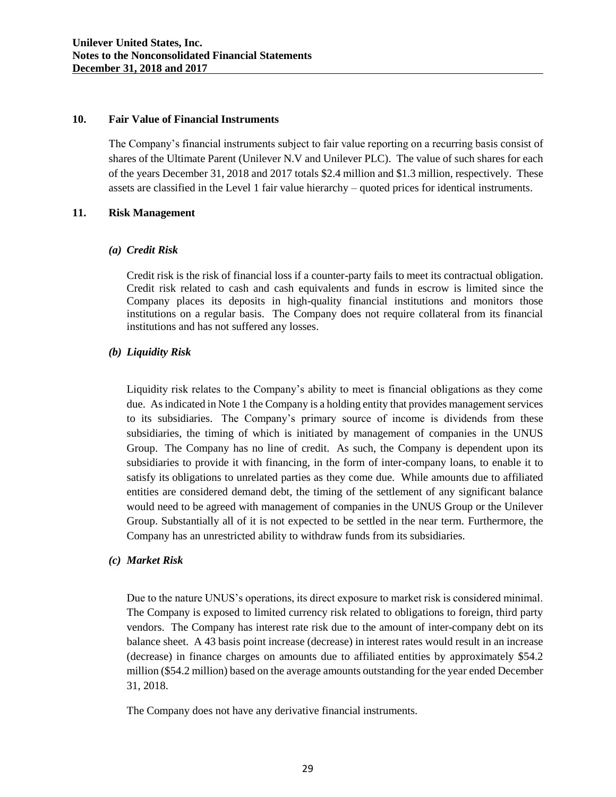### **10. Fair Value of Financial Instruments**

The Company's financial instruments subject to fair value reporting on a recurring basis consist of shares of the Ultimate Parent (Unilever N.V and Unilever PLC). The value of such shares for each of the years December 31, 2018 and 2017 totals \$2.4 million and \$1.3 million, respectively. These assets are classified in the Level 1 fair value hierarchy – quoted prices for identical instruments.

# **11. Risk Management**

# *(a) Credit Risk*

Credit risk is the risk of financial loss if a counter-party fails to meet its contractual obligation. Credit risk related to cash and cash equivalents and funds in escrow is limited since the Company places its deposits in high-quality financial institutions and monitors those institutions on a regular basis. The Company does not require collateral from its financial institutions and has not suffered any losses.

# *(b) Liquidity Risk*

Liquidity risk relates to the Company's ability to meet is financial obligations as they come due. As indicated in Note 1 the Company is a holding entity that provides management services to its subsidiaries. The Company's primary source of income is dividends from these subsidiaries, the timing of which is initiated by management of companies in the UNUS Group. The Company has no line of credit. As such, the Company is dependent upon its subsidiaries to provide it with financing, in the form of inter-company loans, to enable it to satisfy its obligations to unrelated parties as they come due. While amounts due to affiliated entities are considered demand debt, the timing of the settlement of any significant balance would need to be agreed with management of companies in the UNUS Group or the Unilever Group. Substantially all of it is not expected to be settled in the near term. Furthermore, the Company has an unrestricted ability to withdraw funds from its subsidiaries.

# *(c) Market Risk*

Due to the nature UNUS's operations, its direct exposure to market risk is considered minimal. The Company is exposed to limited currency risk related to obligations to foreign, third party vendors. The Company has interest rate risk due to the amount of inter-company debt on its balance sheet. A 43 basis point increase (decrease) in interest rates would result in an increase (decrease) in finance charges on amounts due to affiliated entities by approximately \$54.2 million (\$54.2 million) based on the average amounts outstanding for the year ended December 31, 2018.

The Company does not have any derivative financial instruments.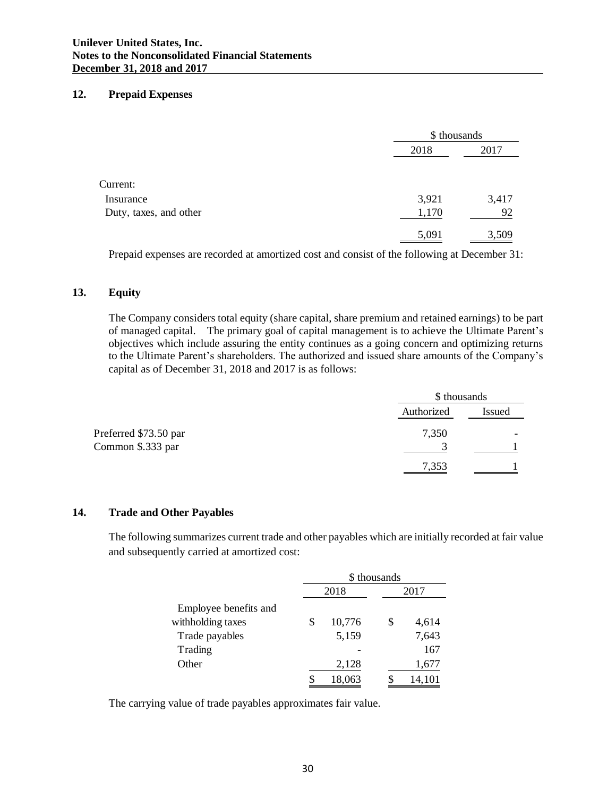# **12. Prepaid Expenses**

|                        |       | \$ thousands |  |
|------------------------|-------|--------------|--|
|                        | 2018  | 2017         |  |
|                        |       |              |  |
| Current:               |       |              |  |
| Insurance              | 3,921 | 3,417        |  |
| Duty, taxes, and other | 1,170 | 92           |  |
|                        | 5,091 | 3,509        |  |

Prepaid expenses are recorded at amortized cost and consist of the following at December 31:

#### **13. Equity**

The Company considers total equity (share capital, share premium and retained earnings) to be part of managed capital. The primary goal of capital management is to achieve the Ultimate Parent's objectives which include assuring the entity continues as a going concern and optimizing returns to the Ultimate Parent's shareholders. The authorized and issued share amounts of the Company's capital as of December 31, 2018 and 2017 is as follows:

|                       |            | \$ thousands |  |
|-----------------------|------------|--------------|--|
|                       | Authorized | Issued       |  |
| Preferred \$73.50 par | 7,350      |              |  |
| Common \$.333 par     |            |              |  |
|                       | 7,353      |              |  |

#### **14. Trade and Other Payables**

The following summarizes current trade and other payables which are initially recorded at fair value and subsequently carried at amortized cost:

|                       | \$ thousands |   |        |
|-----------------------|--------------|---|--------|
|                       | 2018         |   | 2017   |
| Employee benefits and |              |   |        |
| withholding taxes     | \$<br>10,776 | S | 4,614  |
| Trade payables        | 5,159        |   | 7,643  |
| Trading               |              |   | 167    |
| Other                 | 2,128        |   | 1,677  |
|                       | 18,063       |   | 14,101 |

The carrying value of trade payables approximates fair value.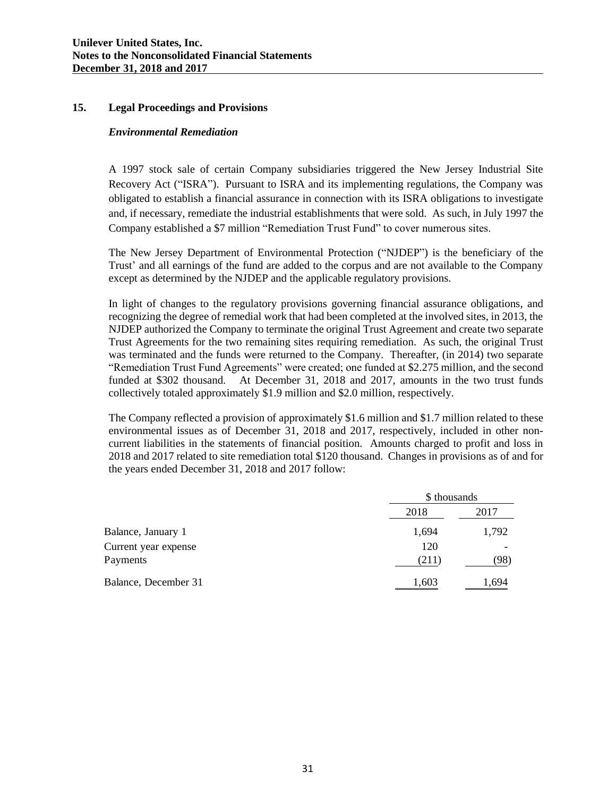### **15. Legal Proceedings and Provisions**

#### *Environmental Remediation*

A 1997 stock sale of certain Company subsidiaries triggered the New Jersey Industrial Site Recovery Act ("ISRA"). Pursuant to ISRA and its implementing regulations, the Company was obligated to establish a financial assurance in connection with its ISRA obligations to investigate and, if necessary, remediate the industrial establishments that were sold. As such, in July 1997 the Company established a \$7 million "Remediation Trust Fund" to cover numerous sites.

The New Jersey Department of Environmental Protection ("NJDEP") is the beneficiary of the Trust' and all earnings of the fund are added to the corpus and are not available to the Company except as determined by the NJDEP and the applicable regulatory provisions.

In light of changes to the regulatory provisions governing financial assurance obligations, and recognizing the degree of remedial work that had been completed at the involved sites, in 2013, the NJDEP authorized the Company to terminate the original Trust Agreement and create two separate Trust Agreements for the two remaining sites requiring remediation. As such, the original Trust was terminated and the funds were returned to the Company. Thereafter, (in 2014) two separate "Remediation Trust Fund Agreements" were created; one funded at \$2.275 million, and the second funded at \$302 thousand.At December 31, 2018 and 2017, amounts in the two trust funds collectively totaled approximately \$1.9 million and \$2.0 million, respectively.

The Company reflected a provision of approximately \$1.6 million and \$1.7 million related to these environmental issues as of December 31, 2018 and 2017, respectively, included in other noncurrent liabilities in the statements of financial position. Amounts charged to profit and loss in 2018 and 2017 related to site remediation total \$120 thousand. Changes in provisions as of and for the years ended December 31, 2018 and 2017 follow:

|                      |       | \$ thousands |  |
|----------------------|-------|--------------|--|
|                      | 2018  | 2017         |  |
| Balance, January 1   | 1,694 | 1,792        |  |
| Current year expense | 120   |              |  |
| Payments             | (211) | (98)         |  |
| Balance, December 31 | 1,603 | 1,694        |  |